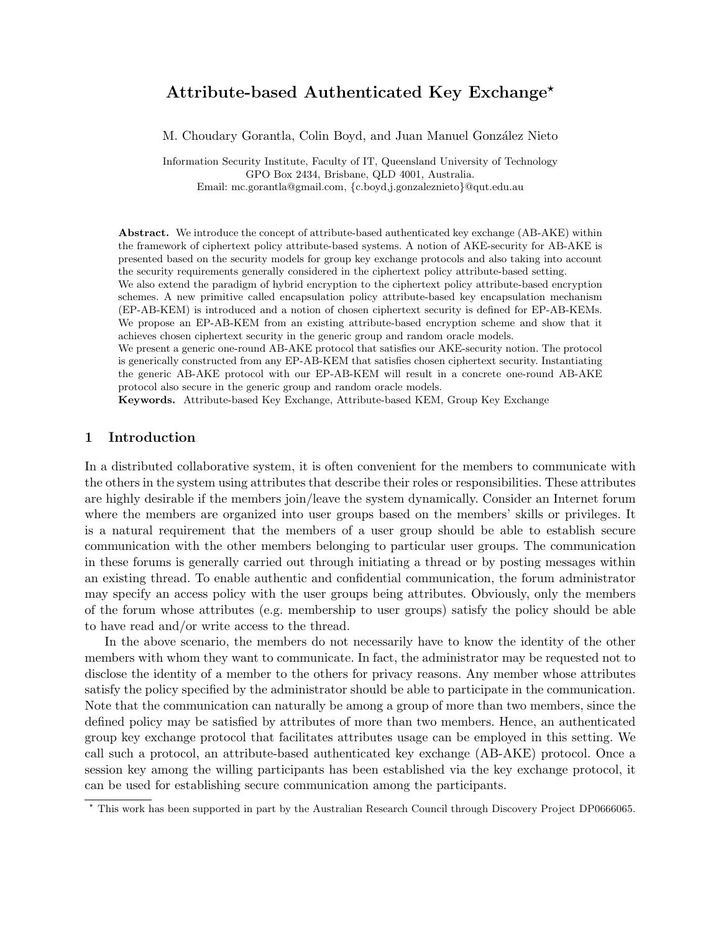# Attribute-based Authenticated Key Exchange?

M. Choudary Gorantla, Colin Boyd, and Juan Manuel González Nieto

Information Security Institute, Faculty of IT, Queensland University of Technology GPO Box 2434, Brisbane, QLD 4001, Australia. Email: mc.gorantla@gmail.com, {c.boyd,j.gonzaleznieto}@qut.edu.au

Abstract. We introduce the concept of attribute-based authenticated key exchange (AB-AKE) within the framework of ciphertext policy attribute-based systems. A notion of AKE-security for AB-AKE is presented based on the security models for group key exchange protocols and also taking into account the security requirements generally considered in the ciphertext policy attribute-based setting.

We also extend the paradigm of hybrid encryption to the ciphertext policy attribute-based encryption schemes. A new primitive called encapsulation policy attribute-based key encapsulation mechanism (EP-AB-KEM) is introduced and a notion of chosen ciphertext security is defined for EP-AB-KEMs. We propose an EP-AB-KEM from an existing attribute-based encryption scheme and show that it achieves chosen ciphertext security in the generic group and random oracle models.

We present a generic one-round AB-AKE protocol that satisfies our AKE-security notion. The protocol is generically constructed from any EP-AB-KEM that satisfies chosen ciphertext security. Instantiating the generic AB-AKE protocol with our EP-AB-KEM will result in a concrete one-round AB-AKE protocol also secure in the generic group and random oracle models.

Keywords. Attribute-based Key Exchange, Attribute-based KEM, Group Key Exchange

### 1 Introduction

In a distributed collaborative system, it is often convenient for the members to communicate with the others in the system using attributes that describe their roles or responsibilities. These attributes are highly desirable if the members join/leave the system dynamically. Consider an Internet forum where the members are organized into user groups based on the members' skills or privileges. It is a natural requirement that the members of a user group should be able to establish secure communication with the other members belonging to particular user groups. The communication in these forums is generally carried out through initiating a thread or by posting messages within an existing thread. To enable authentic and confidential communication, the forum administrator may specify an access policy with the user groups being attributes. Obviously, only the members of the forum whose attributes (e.g. membership to user groups) satisfy the policy should be able to have read and/or write access to the thread.

In the above scenario, the members do not necessarily have to know the identity of the other members with whom they want to communicate. In fact, the administrator may be requested not to disclose the identity of a member to the others for privacy reasons. Any member whose attributes satisfy the policy specified by the administrator should be able to participate in the communication. Note that the communication can naturally be among a group of more than two members, since the defined policy may be satisfied by attributes of more than two members. Hence, an authenticated group key exchange protocol that facilitates attributes usage can be employed in this setting. We call such a protocol, an attribute-based authenticated key exchange (AB-AKE) protocol. Once a session key among the willing participants has been established via the key exchange protocol, it can be used for establishing secure communication among the participants.

<sup>?</sup> This work has been supported in part by the Australian Research Council through Discovery Project DP0666065.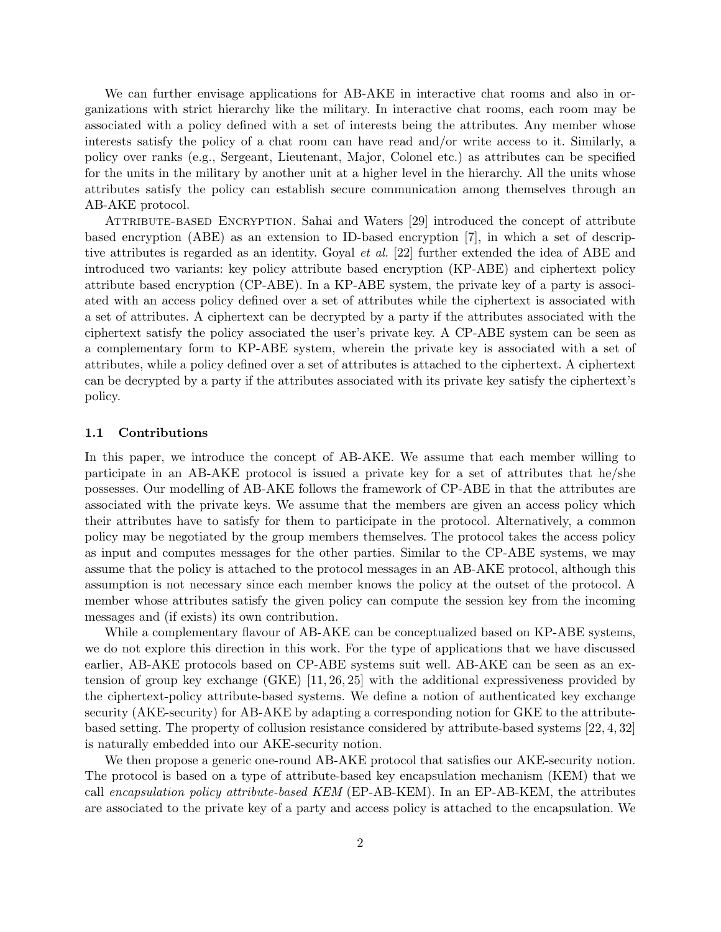We can further envisage applications for AB-AKE in interactive chat rooms and also in organizations with strict hierarchy like the military. In interactive chat rooms, each room may be associated with a policy defined with a set of interests being the attributes. Any member whose interests satisfy the policy of a chat room can have read and/or write access to it. Similarly, a policy over ranks (e.g., Sergeant, Lieutenant, Major, Colonel etc.) as attributes can be specified for the units in the military by another unit at a higher level in the hierarchy. All the units whose attributes satisfy the policy can establish secure communication among themselves through an AB-AKE protocol.

ATTRIBUTE-BASED ENCRYPTION. Sahai and Waters [29] introduced the concept of attribute based encryption (ABE) as an extension to ID-based encryption [7], in which a set of descriptive attributes is regarded as an identity. Goyal et al. [22] further extended the idea of ABE and introduced two variants: key policy attribute based encryption (KP-ABE) and ciphertext policy attribute based encryption (CP-ABE). In a KP-ABE system, the private key of a party is associated with an access policy defined over a set of attributes while the ciphertext is associated with a set of attributes. A ciphertext can be decrypted by a party if the attributes associated with the ciphertext satisfy the policy associated the user's private key. A CP-ABE system can be seen as a complementary form to KP-ABE system, wherein the private key is associated with a set of attributes, while a policy defined over a set of attributes is attached to the ciphertext. A ciphertext can be decrypted by a party if the attributes associated with its private key satisfy the ciphertext's policy.

### 1.1 Contributions

In this paper, we introduce the concept of AB-AKE. We assume that each member willing to participate in an AB-AKE protocol is issued a private key for a set of attributes that he/she possesses. Our modelling of AB-AKE follows the framework of CP-ABE in that the attributes are associated with the private keys. We assume that the members are given an access policy which their attributes have to satisfy for them to participate in the protocol. Alternatively, a common policy may be negotiated by the group members themselves. The protocol takes the access policy as input and computes messages for the other parties. Similar to the CP-ABE systems, we may assume that the policy is attached to the protocol messages in an AB-AKE protocol, although this assumption is not necessary since each member knows the policy at the outset of the protocol. A member whose attributes satisfy the given policy can compute the session key from the incoming messages and (if exists) its own contribution.

While a complementary flavour of AB-AKE can be conceptualized based on KP-ABE systems, we do not explore this direction in this work. For the type of applications that we have discussed earlier, AB-AKE protocols based on CP-ABE systems suit well. AB-AKE can be seen as an extension of group key exchange (GKE) [11, 26, 25] with the additional expressiveness provided by the ciphertext-policy attribute-based systems. We define a notion of authenticated key exchange security (AKE-security) for AB-AKE by adapting a corresponding notion for GKE to the attributebased setting. The property of collusion resistance considered by attribute-based systems [22, 4, 32] is naturally embedded into our AKE-security notion.

We then propose a generic one-round AB-AKE protocol that satisfies our AKE-security notion. The protocol is based on a type of attribute-based key encapsulation mechanism (KEM) that we call encapsulation policy attribute-based KEM (EP-AB-KEM). In an EP-AB-KEM, the attributes are associated to the private key of a party and access policy is attached to the encapsulation. We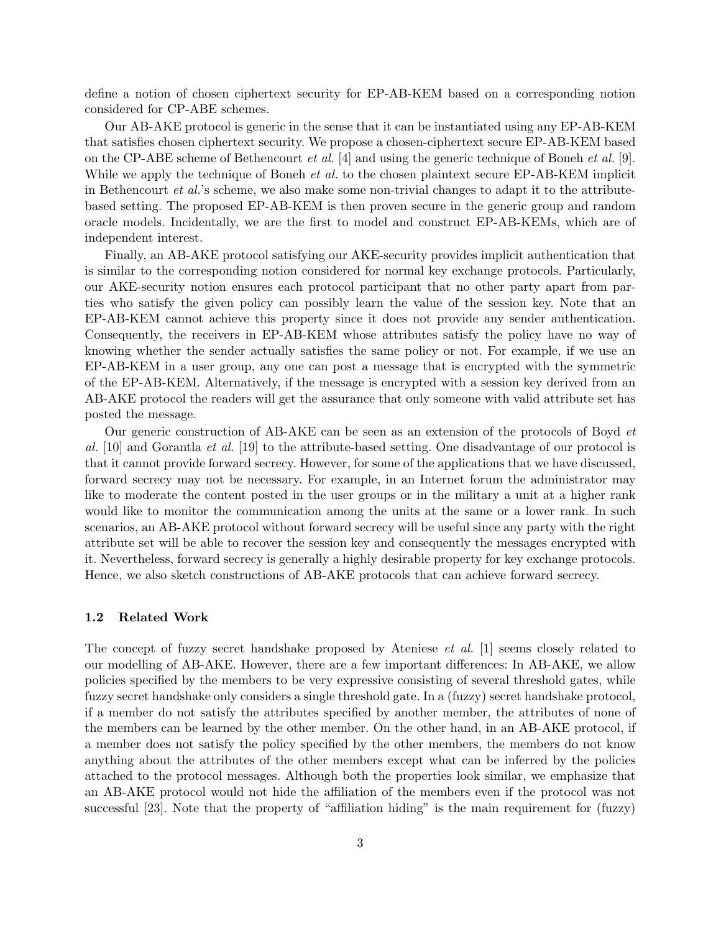define a notion of chosen ciphertext security for EP-AB-KEM based on a corresponding notion considered for CP-ABE schemes.

Our AB-AKE protocol is generic in the sense that it can be instantiated using any EP-AB-KEM that satisfies chosen ciphertext security. We propose a chosen-ciphertext secure EP-AB-KEM based on the CP-ABE scheme of Bethencourt *et al.* [4] and using the generic technique of Boneh *et al.* [9]. While we apply the technique of Boneh *et al.* to the chosen plaintext secure EP-AB-KEM implicit in Bethencourt et al.'s scheme, we also make some non-trivial changes to adapt it to the attributebased setting. The proposed EP-AB-KEM is then proven secure in the generic group and random oracle models. Incidentally, we are the first to model and construct EP-AB-KEMs, which are of independent interest.

Finally, an AB-AKE protocol satisfying our AKE-security provides implicit authentication that is similar to the corresponding notion considered for normal key exchange protocols. Particularly, our AKE-security notion ensures each protocol participant that no other party apart from parties who satisfy the given policy can possibly learn the value of the session key. Note that an EP-AB-KEM cannot achieve this property since it does not provide any sender authentication. Consequently, the receivers in EP-AB-KEM whose attributes satisfy the policy have no way of knowing whether the sender actually satisfies the same policy or not. For example, if we use an EP-AB-KEM in a user group, any one can post a message that is encrypted with the symmetric of the EP-AB-KEM. Alternatively, if the message is encrypted with a session key derived from an AB-AKE protocol the readers will get the assurance that only someone with valid attribute set has posted the message.

Our generic construction of AB-AKE can be seen as an extension of the protocols of Boyd et al. [10] and Gorantla *et al.* [19] to the attribute-based setting. One disadvantage of our protocol is that it cannot provide forward secrecy. However, for some of the applications that we have discussed, forward secrecy may not be necessary. For example, in an Internet forum the administrator may like to moderate the content posted in the user groups or in the military a unit at a higher rank would like to monitor the communication among the units at the same or a lower rank. In such scenarios, an AB-AKE protocol without forward secrecy will be useful since any party with the right attribute set will be able to recover the session key and consequently the messages encrypted with it. Nevertheless, forward secrecy is generally a highly desirable property for key exchange protocols. Hence, we also sketch constructions of AB-AKE protocols that can achieve forward secrecy.

#### 1.2 Related Work

The concept of fuzzy secret handshake proposed by Ateniese et al. [1] seems closely related to our modelling of AB-AKE. However, there are a few important differences: In AB-AKE, we allow policies specified by the members to be very expressive consisting of several threshold gates, while fuzzy secret handshake only considers a single threshold gate. In a (fuzzy) secret handshake protocol, if a member do not satisfy the attributes specified by another member, the attributes of none of the members can be learned by the other member. On the other hand, in an AB-AKE protocol, if a member does not satisfy the policy specified by the other members, the members do not know anything about the attributes of the other members except what can be inferred by the policies attached to the protocol messages. Although both the properties look similar, we emphasize that an AB-AKE protocol would not hide the affiliation of the members even if the protocol was not successful [23]. Note that the property of "affiliation hiding" is the main requirement for (fuzzy)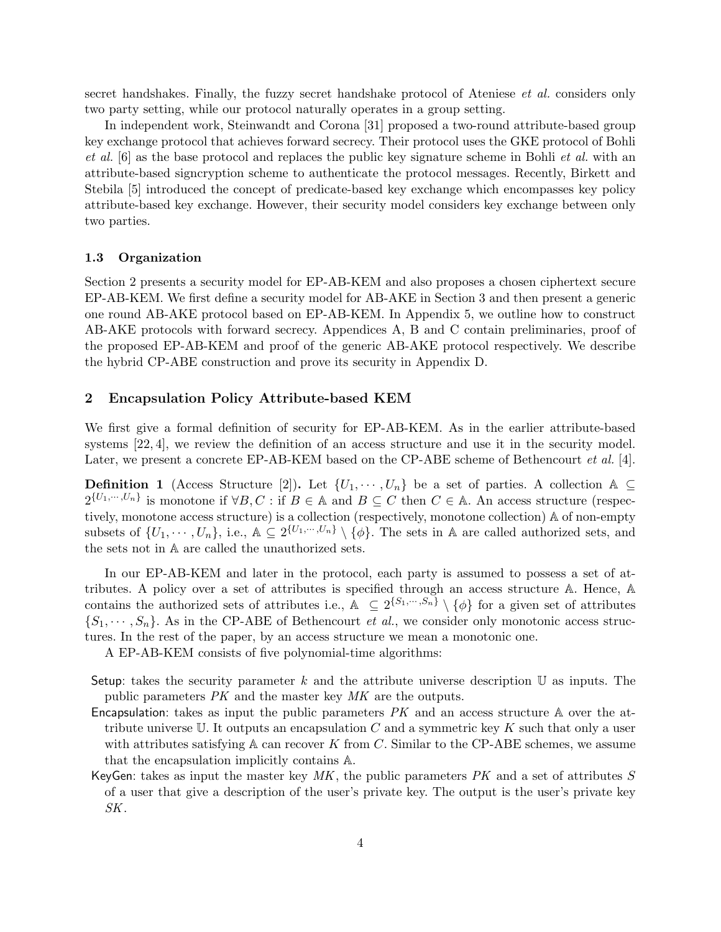secret handshakes. Finally, the fuzzy secret handshake protocol of Ateniese *et al.* considers only two party setting, while our protocol naturally operates in a group setting.

In independent work, Steinwandt and Corona [31] proposed a two-round attribute-based group key exchange protocol that achieves forward secrecy. Their protocol uses the GKE protocol of Bohli et al. [6] as the base protocol and replaces the public key signature scheme in Bohli et al. with an attribute-based signcryption scheme to authenticate the protocol messages. Recently, Birkett and Stebila [5] introduced the concept of predicate-based key exchange which encompasses key policy attribute-based key exchange. However, their security model considers key exchange between only two parties.

### 1.3 Organization

Section 2 presents a security model for EP-AB-KEM and also proposes a chosen ciphertext secure EP-AB-KEM. We first define a security model for AB-AKE in Section 3 and then present a generic one round AB-AKE protocol based on EP-AB-KEM. In Appendix 5, we outline how to construct AB-AKE protocols with forward secrecy. Appendices A, B and C contain preliminaries, proof of the proposed EP-AB-KEM and proof of the generic AB-AKE protocol respectively. We describe the hybrid CP-ABE construction and prove its security in Appendix D.

### 2 Encapsulation Policy Attribute-based KEM

We first give a formal definition of security for EP-AB-KEM. As in the earlier attribute-based systems [22, 4], we review the definition of an access structure and use it in the security model. Later, we present a concrete EP-AB-KEM based on the CP-ABE scheme of Bethencourt et al. [4].

**Definition 1** (Access Structure [2]). Let  $\{U_1, \dots, U_n\}$  be a set of parties. A collection A  $\subseteq$  $2^{\{U_1,\dots,U_n\}}$  is monotone if  $\forall B,C$ : if  $B \in \mathbb{A}$  and  $B \subseteq C$  then  $C \in \mathbb{A}$ . An access structure (respectively, monotone access structure) is a collection (respectively, monotone collection) A of non-empty subsets of  $\{U_1, \dots, U_n\}$ , i.e.,  $\mathbb{A} \subseteq 2^{\{U_1, \dots, U_n\}} \setminus \{\phi\}$ . The sets in  $\mathbb{A}$  are called authorized sets, and the sets not in A are called the unauthorized sets.

In our EP-AB-KEM and later in the protocol, each party is assumed to possess a set of attributes. A policy over a set of attributes is specified through an access structure A. Hence, A contains the authorized sets of attributes i.e.,  $\mathbb{A} \subseteq 2^{\{S_1, \dots, S_n\}} \setminus \{\phi\}$  for a given set of attributes  $\{S_1, \dots, S_n\}$ . As in the CP-ABE of Bethencourt *et al.*, we consider only monotonic access structures. In the rest of the paper, by an access structure we mean a monotonic one.

A EP-AB-KEM consists of five polynomial-time algorithms:

- Setup: takes the security parameter k and the attribute universe description  $\mathbb U$  as inputs. The public parameters PK and the master key MK are the outputs.
- Encapsulation: takes as input the public parameters  $PK$  and an access structure A over the attribute universe U. It outputs an encapsulation  $C$  and a symmetric key  $K$  such that only a user with attributes satisfying  $A$  can recover K from C. Similar to the CP-ABE schemes, we assume that the encapsulation implicitly contains A.
- KeyGen: takes as input the master key  $MK$ , the public parameters PK and a set of attributes S of a user that give a description of the user's private key. The output is the user's private key SK.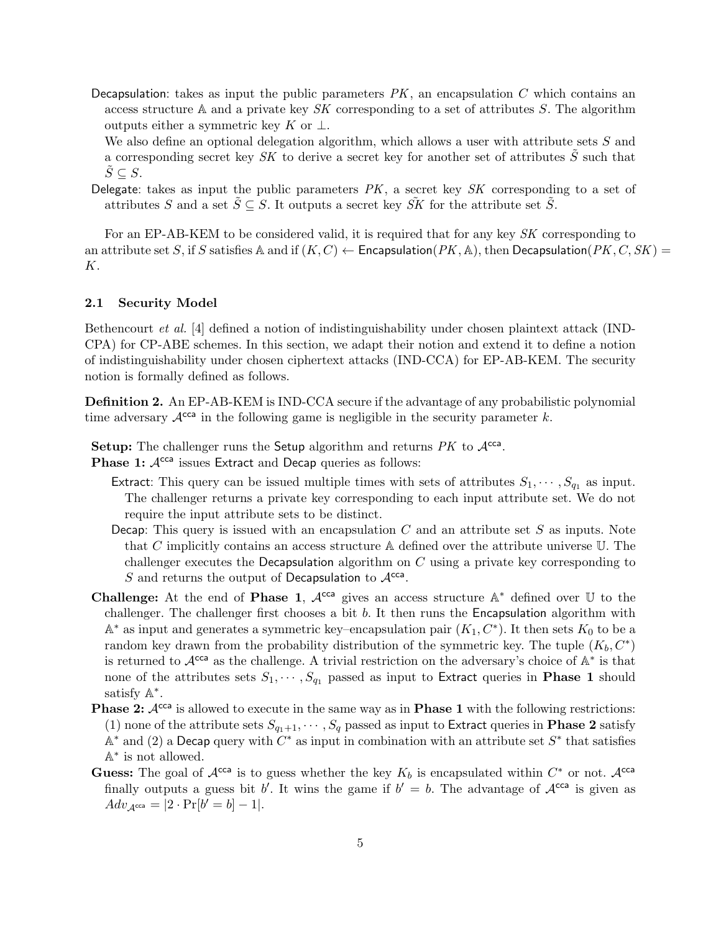Decapsulation: takes as input the public parameters  $PK$ , an encapsulation  $C$  which contains an access structure  $A$  and a private key  $SK$  corresponding to a set of attributes  $S$ . The algorithm outputs either a symmetric key K or  $\perp$ .

We also define an optional delegation algorithm, which allows a user with attribute sets S and a corresponding secret key SK to derive a secret key for another set of attributes  $\tilde{S}$  such that  $S \subseteq S$ .

Delegate: takes as input the public parameters  $PK$ , a secret key  $SK$  corresponding to a set of attributes S and a set  $\tilde{S} \subseteq S$ . It outputs a secret key  $\tilde{SK}$  for the attribute set  $\tilde{S}$ .

For an EP-AB-KEM to be considered valid, it is required that for any key SK corresponding to an attribute set S, if S satisfies A and if  $(K, C) \leftarrow$  Encapsulation $(PK, A)$ , then Decapsulation $(PK, C, SK)$ K.

### 2.1 Security Model

Bethencourt et al. [4] defined a notion of indistinguishability under chosen plaintext attack (IND-CPA) for CP-ABE schemes. In this section, we adapt their notion and extend it to define a notion of indistinguishability under chosen ciphertext attacks (IND-CCA) for EP-AB-KEM. The security notion is formally defined as follows.

Definition 2. An EP-AB-KEM is IND-CCA secure if the advantage of any probabilistic polynomial time adversary  $\mathcal{A}^{cca}$  in the following game is negligible in the security parameter k.

Setup: The challenger runs the Setup algorithm and returns  $PK$  to  $\mathcal{A}^{\text{cca}}$ .

**Phase 1:**  $A^{cca}$  issues Extract and Decap queries as follows:

- Extract: This query can be issued multiple times with sets of attributes  $S_1, \dots, S_{q_1}$  as input. The challenger returns a private key corresponding to each input attribute set. We do not require the input attribute sets to be distinct.
- Decap: This query is issued with an encapsulation  $C$  and an attribute set  $S$  as inputs. Note that C implicitly contains an access structure A defined over the attribute universe U. The challenger executes the Decapsulation algorithm on  $C$  using a private key corresponding to S and returns the output of Decapsulation to  $A^{cca}$ .
- **Challenge:** At the end of **Phase 1**,  $A^{cca}$  gives an access structure  $A^*$  defined over  $U$  to the challenger. The challenger first chooses a bit b. It then runs the Encapsulation algorithm with  $\mathbb{A}^*$  as input and generates a symmetric key–encapsulation pair  $(K_1, C^*)$ . It then sets  $K_0$  to be a random key drawn from the probability distribution of the symmetric key. The tuple  $(K_b, C^*)$ is returned to  $\mathcal{A}^{\text{cca}}$  as the challenge. A trivial restriction on the adversary's choice of  $\mathbb{A}^*$  is that none of the attributes sets  $S_1, \dots, S_{q_1}$  passed as input to Extract queries in **Phase 1** should satisfy  $\mathbb{A}^*$ .
- **Phase 2:**  $A^{cc}$  is allowed to execute in the same way as in **Phase 1** with the following restrictions: (1) none of the attribute sets  $S_{q_1+1}, \cdots, S_q$  passed as input to Extract queries in **Phase 2** satisfy  $A^*$  and (2) a Decap query with  $C^*$  as input in combination with an attribute set  $S^*$  that satisfies A ∗ is not allowed.
- Guess: The goal of  $\mathcal{A}^{cca}$  is to guess whether the key  $K_b$  is encapsulated within  $C^*$  or not.  $\mathcal{A}^{cca}$ finally outputs a guess bit b'. It wins the game if  $b' = b$ . The advantage of  $\mathcal{A}^{cca}$  is given as  $Adv_{A^{cca}} = |2 \cdot Pr[b' = b] - 1|.$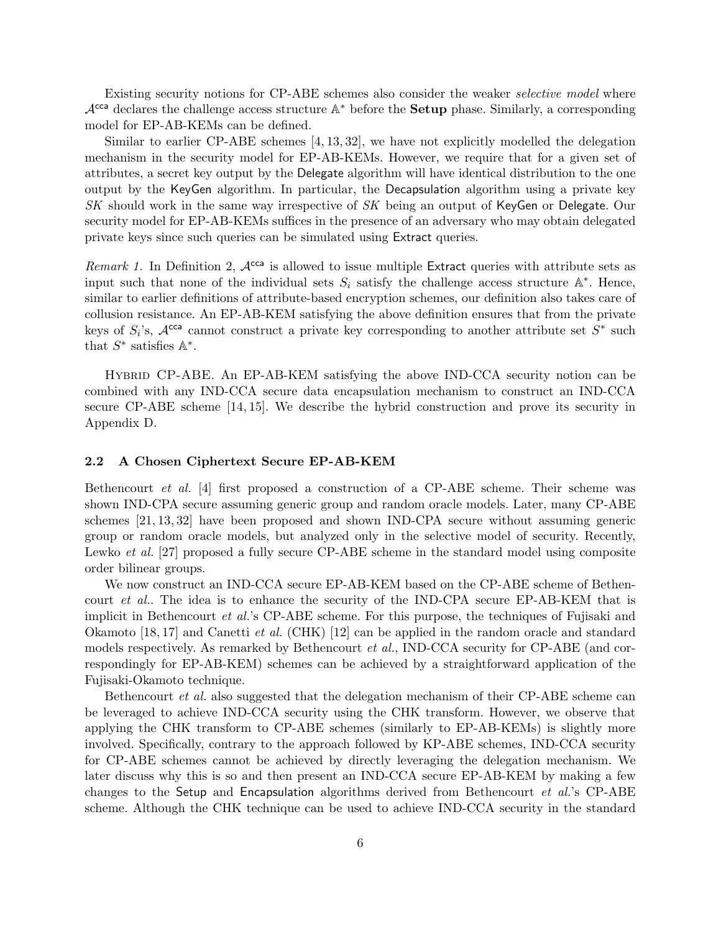Existing security notions for CP-ABE schemes also consider the weaker selective model where  $\mathcal{A}^{\text{cca}}$  declares the challenge access structure  $\mathbb{A}^*$  before the **Setup** phase. Similarly, a corresponding model for EP-AB-KEMs can be defined.

Similar to earlier CP-ABE schemes [4, 13, 32], we have not explicitly modelled the delegation mechanism in the security model for EP-AB-KEMs. However, we require that for a given set of attributes, a secret key output by the Delegate algorithm will have identical distribution to the one output by the KeyGen algorithm. In particular, the Decapsulation algorithm using a private key SK should work in the same way irrespective of SK being an output of KeyGen or Delegate. Our security model for EP-AB-KEMs suffices in the presence of an adversary who may obtain delegated private keys since such queries can be simulated using Extract queries.

Remark 1. In Definition 2,  $A^{cca}$  is allowed to issue multiple Extract queries with attribute sets as input such that none of the individual sets  $S_i$  satisfy the challenge access structure  $\mathbb{A}^*$ . Hence, similar to earlier definitions of attribute-based encryption schemes, our definition also takes care of collusion resistance. An EP-AB-KEM satisfying the above definition ensures that from the private keys of  $S_i$ 's,  $\mathcal{A}^{\text{cca}}$  cannot construct a private key corresponding to another attribute set  $S^*$  such that  $S^*$  satisfies  $\mathbb{A}^*$ .

Hybrid CP-ABE. An EP-AB-KEM satisfying the above IND-CCA security notion can be combined with any IND-CCA secure data encapsulation mechanism to construct an IND-CCA secure CP-ABE scheme [14, 15]. We describe the hybrid construction and prove its security in Appendix D.

#### 2.2 A Chosen Ciphertext Secure EP-AB-KEM

Bethencourt et al. [4] first proposed a construction of a CP-ABE scheme. Their scheme was shown IND-CPA secure assuming generic group and random oracle models. Later, many CP-ABE schemes [21, 13, 32] have been proposed and shown IND-CPA secure without assuming generic group or random oracle models, but analyzed only in the selective model of security. Recently, Lewko *et al.* [27] proposed a fully secure CP-ABE scheme in the standard model using composite order bilinear groups.

We now construct an IND-CCA secure EP-AB-KEM based on the CP-ABE scheme of Bethencourt *et al.*. The idea is to enhance the security of the IND-CPA secure EP-AB-KEM that is implicit in Bethencourt et al.'s CP-ABE scheme. For this purpose, the techniques of Fujisaki and Okamoto [18, 17] and Canetti et al. (CHK) [12] can be applied in the random oracle and standard models respectively. As remarked by Bethencourt et al., IND-CCA security for CP-ABE (and correspondingly for EP-AB-KEM) schemes can be achieved by a straightforward application of the Fujisaki-Okamoto technique.

Bethencourt et al. also suggested that the delegation mechanism of their CP-ABE scheme can be leveraged to achieve IND-CCA security using the CHK transform. However, we observe that applying the CHK transform to CP-ABE schemes (similarly to EP-AB-KEMs) is slightly more involved. Specifically, contrary to the approach followed by KP-ABE schemes, IND-CCA security for CP-ABE schemes cannot be achieved by directly leveraging the delegation mechanism. We later discuss why this is so and then present an IND-CCA secure EP-AB-KEM by making a few changes to the Setup and Encapsulation algorithms derived from Bethencourt et al.'s CP-ABE scheme. Although the CHK technique can be used to achieve IND-CCA security in the standard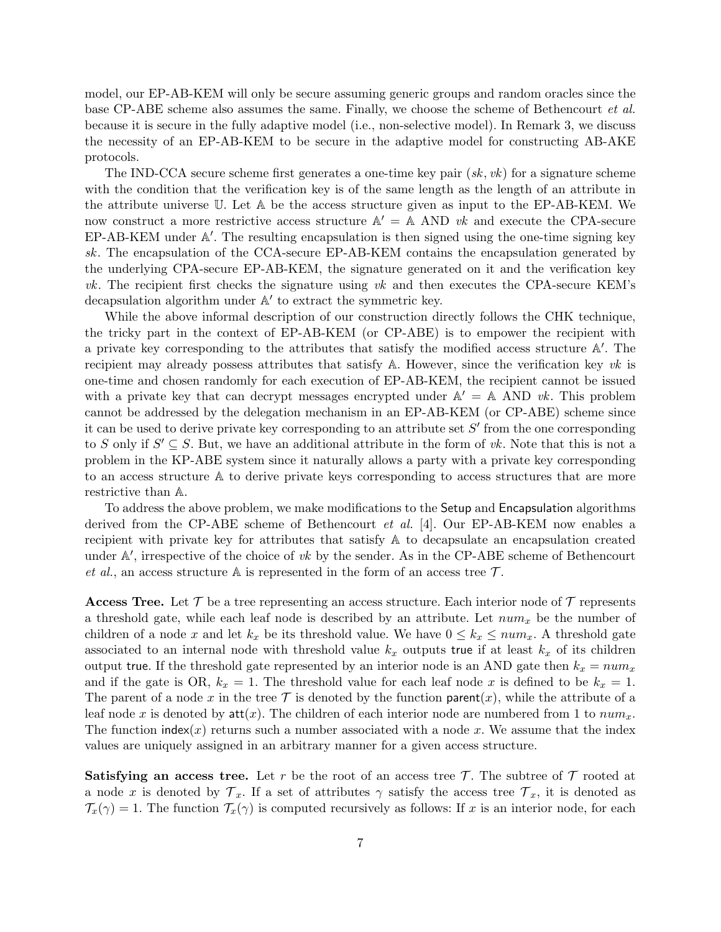model, our EP-AB-KEM will only be secure assuming generic groups and random oracles since the base CP-ABE scheme also assumes the same. Finally, we choose the scheme of Bethencourt et al. because it is secure in the fully adaptive model (i.e., non-selective model). In Remark 3, we discuss the necessity of an EP-AB-KEM to be secure in the adaptive model for constructing AB-AKE protocols.

The IND-CCA secure scheme first generates a one-time key pair  $(sk, vk)$  for a signature scheme with the condition that the verification key is of the same length as the length of an attribute in the attribute universe U. Let A be the access structure given as input to the EP-AB-KEM. We now construct a more restrictive access structure  $\mathbb{A}' = \mathbb{A}$  AND vk and execute the CPA-secure EP-AB-KEM under A'. The resulting encapsulation is then signed using the one-time signing key sk. The encapsulation of the CCA-secure EP-AB-KEM contains the encapsulation generated by the underlying CPA-secure EP-AB-KEM, the signature generated on it and the verification key *vk*. The recipient first checks the signature using  $vk$  and then executes the CPA-secure KEM's decapsulation algorithm under  $\mathbb{A}'$  to extract the symmetric key.

While the above informal description of our construction directly follows the CHK technique, the tricky part in the context of EP-AB-KEM (or CP-ABE) is to empower the recipient with a private key corresponding to the attributes that satisfy the modified access structure A'. The recipient may already possess attributes that satisfy  $A$ . However, since the verification key vk is one-time and chosen randomly for each execution of EP-AB-KEM, the recipient cannot be issued with a private key that can decrypt messages encrypted under  $\mathbb{A}' = \mathbb{A}$  AND vk. This problem cannot be addressed by the delegation mechanism in an EP-AB-KEM (or CP-ABE) scheme since it can be used to derive private key corresponding to an attribute set  $S'$  from the one corresponding to S only if  $S' \subseteq S$ . But, we have an additional attribute in the form of vk. Note that this is not a problem in the KP-ABE system since it naturally allows a party with a private key corresponding to an access structure A to derive private keys corresponding to access structures that are more restrictive than A.

To address the above problem, we make modifications to the Setup and Encapsulation algorithms derived from the CP-ABE scheme of Bethencourt *et al.* [4]. Our EP-AB-KEM now enables a recipient with private key for attributes that satisfy A to decapsulate an encapsulation created under  $\mathbb{A}'$ , irrespective of the choice of vk by the sender. As in the CP-ABE scheme of Bethencourt et al., an access structure  $A$  is represented in the form of an access tree  $\mathcal{T}$ .

Access Tree. Let  $\mathcal T$  be a tree representing an access structure. Each interior node of  $\mathcal T$  represents a threshold gate, while each leaf node is described by an attribute. Let  $num_x$  be the number of children of a node x and let  $k_x$  be its threshold value. We have  $0 \leq k_x \leq num_x$ . A threshold gate associated to an internal node with threshold value  $k_x$  outputs true if at least  $k_x$  of its children output true. If the threshold gate represented by an interior node is an AND gate then  $k_x = num_x$ and if the gate is OR,  $k_x = 1$ . The threshold value for each leaf node x is defined to be  $k_x = 1$ . The parent of a node x in the tree  $\mathcal T$  is denoted by the function parent $(x)$ , while the attribute of a leaf node x is denoted by  $\text{att}(x)$ . The children of each interior node are numbered from 1 to  $num_x$ . The function  $index(x)$  returns such a number associated with a node x. We assume that the index values are uniquely assigned in an arbitrary manner for a given access structure.

**Satisfying an access tree.** Let r be the root of an access tree  $\mathcal{T}$ . The subtree of  $\mathcal{T}$  rooted at a node x is denoted by  $\mathcal{T}_x$ . If a set of attributes  $\gamma$  satisfy the access tree  $\mathcal{T}_x$ , it is denoted as  $\mathcal{T}_x(\gamma) = 1$ . The function  $\mathcal{T}_x(\gamma)$  is computed recursively as follows: If x is an interior node, for each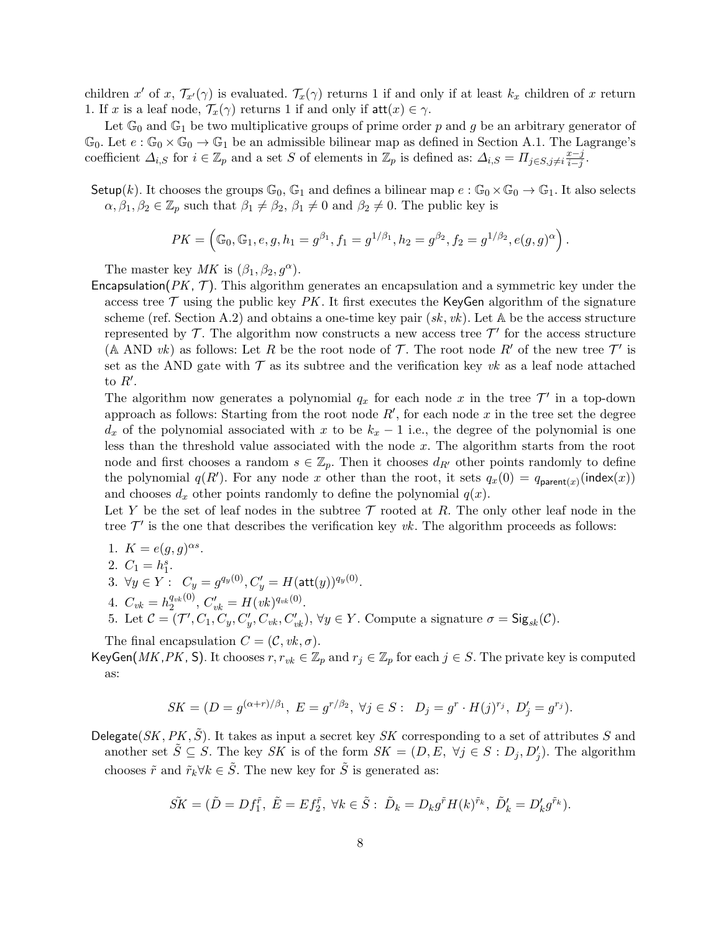children x' of x,  $\mathcal{T}_{x'}(\gamma)$  is evaluated.  $\mathcal{T}_x(\gamma)$  returns 1 if and only if at least  $k_x$  children of x return 1. If x is a leaf node,  $\mathcal{T}_x(\gamma)$  returns 1 if and only if  $\mathsf{att}(x) \in \gamma$ .

Let  $\mathbb{G}_0$  and  $\mathbb{G}_1$  be two multiplicative groups of prime order p and g be an arbitrary generator of  $\mathbb{G}_0$ . Let  $e : \mathbb{G}_0 \times \mathbb{G}_0 \to \mathbb{G}_1$  be an admissible bilinear map as defined in Section A.1. The Lagrange's coefficient  $\Delta_{i,S}$  for  $i \in \mathbb{Z}_p$  and a set S of elements in  $\mathbb{Z}_p$  is defined as:  $\Delta_{i,S} = \Pi_{j \in S, j \neq i} \frac{x-j}{i-j}$  $\frac{x-j}{i-j}$ .

Setup(k). It chooses the groups  $\mathbb{G}_0$ ,  $\mathbb{G}_1$  and defines a bilinear map  $e : \mathbb{G}_0 \times \mathbb{G}_0 \to \mathbb{G}_1$ . It also selects  $\alpha, \beta_1, \beta_2 \in \mathbb{Z}_p$  such that  $\beta_1 \neq \beta_2$ ,  $\beta_1 \neq 0$  and  $\beta_2 \neq 0$ . The public key is

$$
PK = (\mathbb{G}_0, \mathbb{G}_1, e, g, h_1 = g^{\beta_1}, f_1 = g^{1/\beta_1}, h_2 = g^{\beta_2}, f_2 = g^{1/\beta_2}, e(g, g)^{\alpha}).
$$

The master key MK is  $(\beta_1, \beta_2, g^{\alpha})$ .

Encapsulation( $PK$ ,  $T$ ). This algorithm generates an encapsulation and a symmetric key under the access tree  $\mathcal T$  using the public key PK. It first executes the KeyGen algorithm of the signature scheme (ref. Section A.2) and obtains a one-time key pair  $(sk, vk)$ . Let A be the access structure represented by  $\mathcal T$ . The algorithm now constructs a new access tree  $\mathcal T'$  for the access structure (A AND vk) as follows: Let R be the root node of  $\mathcal{T}$ . The root node R' of the new tree  $\mathcal{T}'$  is set as the AND gate with  $\mathcal T$  as its subtree and the verification key vk as a leaf node attached to  $R'$ .

The algorithm now generates a polynomial  $q_x$  for each node x in the tree  $\mathcal{T}'$  in a top-down approach as follows: Starting from the root node  $R'$ , for each node x in the tree set the degree  $d_x$  of the polynomial associated with x to be  $k_x - 1$  i.e., the degree of the polynomial is one less than the threshold value associated with the node x. The algorithm starts from the root node and first chooses a random  $s \in \mathbb{Z}_p$ . Then it chooses  $d_{R'}$  other points randomly to define the polynomial  $q(R')$ . For any node x other than the root, it sets  $q_x(0) = q_{\text{parent}(x)}(\text{index}(x))$ and chooses  $d_x$  other points randomly to define the polynomial  $q(x)$ .

Let Y be the set of leaf nodes in the subtree  $\mathcal T$  rooted at R. The only other leaf node in the tree  $\mathcal{T}'$  is the one that describes the verification key vk. The algorithm proceeds as follows:

- 1.  $K = e(g, g)^{\alpha s}$ .
- 2.  $C_1 = h_1^s$ .
- 3.  $\forall y \in Y: C_y = g^{q_y(0)}, C'_y = H(\text{att}(y))^{q_y(0)}.$
- 4.  $C_{vk} = h_2^{q_{vk}(0)}, C'_{vk} = H(vk)^{q_{vk}(0)}$ .
- 5. Let  $\mathcal{C} = (\mathcal{T}', C_1, C_y, C'_y, C_{vk}, C'_{vk}), \forall y \in Y$ . Compute a signature  $\sigma = \text{Sig}_{sk}(\mathcal{C})$ .

The final encapsulation  $C = (\mathcal{C}, vk, \sigma)$ .

KeyGen(*MK,PK,* S). It chooses  $r, r_{vk} \in \mathbb{Z}_p$  and  $r_j \in \mathbb{Z}_p$  for each  $j \in S$ . The private key is computed as:

$$
SK = (D = g^{(\alpha+r)/\beta_1}, E = g^{r/\beta_2}, \forall j \in S: D_j = g^r \cdot H(j)^{r_j}, D'_j = g^{r_j}).
$$

Delegate(SK, PK,  $\tilde{S}$ ). It takes as input a secret key SK corresponding to a set of attributes S and another set  $\tilde{S} \subseteq S$ . The key SK is of the form  $SK = (D, E, \forall j \in S : D_j, D'_j)$ . The algorithm chooses  $\tilde{r}$  and  $\tilde{r}_k \forall k \in \tilde{S}$ . The new key for  $\tilde{S}$  is generated as:

$$
\tilde{SK} = (\tilde{D} = Df_1^{\tilde{r}}, \ \tilde{E} = Ef_2^{\tilde{r}}, \ \forall k \in \tilde{S} : \ \tilde{D}_k = D_k g^{\tilde{r}} H(k)^{\tilde{r}_k}, \ \tilde{D}'_k = D'_k g^{\tilde{r}_k}).
$$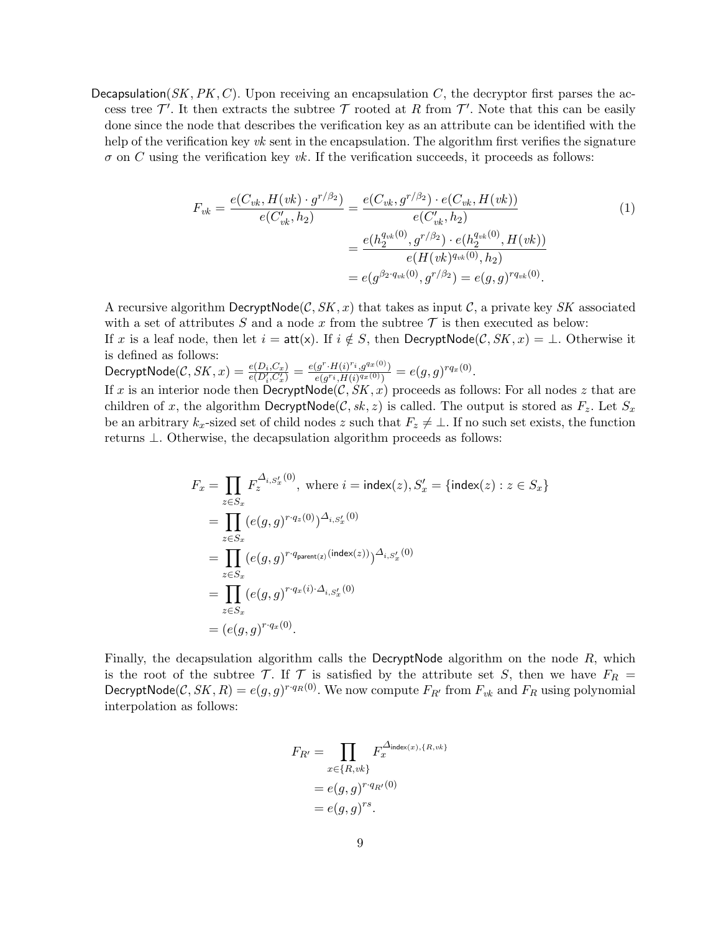Decapsulation( $SK, PK, C$ ). Upon receiving an encapsulation C, the decryptor first parses the access tree  $\mathcal{T}'$ . It then extracts the subtree  $\mathcal T$  rooted at R from  $\mathcal T'$ . Note that this can be easily done since the node that describes the verification key as an attribute can be identified with the help of the verification key vk sent in the encapsulation. The algorithm first verifies the signature  $\sigma$  on C using the verification key vk. If the verification succeeds, it proceeds as follows:

$$
F_{vk} = \frac{e(C_{vk}, H(vk) \cdot g^{r/\beta_2})}{e(C'_{vk}, h_2)} = \frac{e(C_{vk}, g^{r/\beta_2}) \cdot e(C_{vk}, H(vk))}{e(C'_{vk}, h_2)}
$$
  

$$
= \frac{e(h_2^{q_{vk}(0)}, g^{r/\beta_2}) \cdot e(h_2^{q_{vk}(0)}, H(vk))}{e(H(vk)^{q_{vk}(0)}, h_2)}
$$
  

$$
= e(g^{\beta_2 \cdot q_{vk}(0)}, g^{r/\beta_2}) = e(g, g)^{r q_{vk}(0)}.
$$
 (1)

A recursive algorithm  $\text{DecryptNode}(\mathcal{C}, SK, x)$  that takes as input  $\mathcal{C}$ , a private key SK associated with a set of attributes S and a node x from the subtree  $\mathcal T$  is then executed as below:

If x is a leaf node, then let  $i = \text{att}(x)$ . If  $i \notin S$ , then DecryptNode $(C, SK, x) = \bot$ . Otherwise it is defined as follows:

 $\mathsf{DecryptNode}(\mathcal{C}, \mathit{SK}, x) = \frac{e(D_i, C_x)}{e(D_i', C_x')} = \frac{e(g^r \cdot H(i)^{r_i}, g^{q_x(0)})}{e(g^{r_i}, H(i)^{q_x(0)})}$  $\frac{(g^r \cdot H(i)^{r_i}, g^{q_x(0)})}{e(g^{r_i}, H(i)^{q_x(0)})} = e(g,g)^{rq_x(0)}.$ 

If x is an interior node then  $\mathsf{DecryptNode}(\mathcal{C}, SK, x)$  proceeds as follows: For all nodes z that are children of x, the algorithm DecryptNode(C, sk, z) is called. The output is stored as  $F_z$ . Let  $S_x$ be an arbitrary  $k_x$ -sized set of child nodes z such that  $F_z \neq \bot$ . If no such set exists, the function returns ⊥. Otherwise, the decapsulation algorithm proceeds as follows:

$$
F_x = \prod_{z \in S_x} F_z^{\Delta_{i, S'_x}(0)}, \text{ where } i = \text{index}(z), S'_x = \{\text{index}(z) : z \in S_x\}
$$
  
= 
$$
\prod_{z \in S_x} (e(g, g)^{r \cdot q_z(0)})^{\Delta_{i, S'_x}(0)}
$$
  
= 
$$
\prod_{z \in S_x} (e(g, g)^{r \cdot q_{\text{parent}(z)}(\text{index}(z))})^{\Delta_{i, S'_x}(0)}
$$
  
= 
$$
\prod_{z \in S_x} (e(g, g)^{r \cdot q_x(i) \cdot \Delta_{i, S'_x}(0)}
$$
  
= 
$$
(e(g, g)^{r \cdot q_x(0)}.
$$

Finally, the decapsulation algorithm calls the DecryptNode algorithm on the node  $R$ , which is the root of the subtree T. If T is satisfied by the attribute set S, then we have  $F_R =$ DecryptNode $(C, SK, R) = e(g, g)^{r \cdot q_R(0)}$ . We now compute  $F_{R'}$  from  $F_{vk}$  and  $F_R$  using polynomial interpolation as follows:

$$
F_{R'} = \prod_{x \in \{R, vk\}} F_x^{\Delta_{\text{index}(x), \{R, vk\}}}
$$
  
=  $e(g, g)^{r \cdot q_{R'}(0)}$   
=  $e(g, g)^{rs}$ .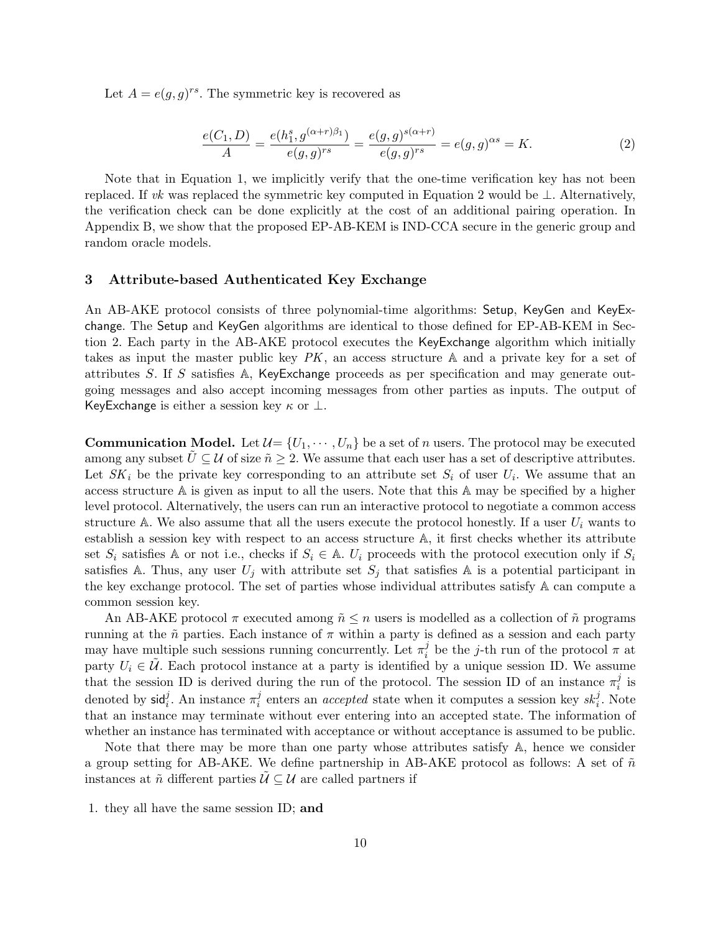Let  $A = e(g, g)^{rs}$ . The symmetric key is recovered as

$$
\frac{e(C_1, D)}{A} = \frac{e(h_1^s, g^{(\alpha+r)\beta_1})}{e(g, g)^{rs}} = \frac{e(g, g)^{s(\alpha+r)}}{e(g, g)^{rs}} = e(g, g)^{\alpha s} = K.
$$
\n(2)

Note that in Equation 1, we implicitly verify that the one-time verification key has not been replaced. If vk was replaced the symmetric key computed in Equation 2 would be ⊥. Alternatively, the verification check can be done explicitly at the cost of an additional pairing operation. In Appendix B, we show that the proposed EP-AB-KEM is IND-CCA secure in the generic group and random oracle models.

### 3 Attribute-based Authenticated Key Exchange

An AB-AKE protocol consists of three polynomial-time algorithms: Setup, KeyGen and KeyExchange. The Setup and KeyGen algorithms are identical to those defined for EP-AB-KEM in Section 2. Each party in the AB-AKE protocol executes the KeyExchange algorithm which initially takes as input the master public key  $PK$ , an access structure  $A$  and a private key for a set of attributes S. If S satisfies A, KeyExchange proceeds as per specification and may generate outgoing messages and also accept incoming messages from other parties as inputs. The output of KeyExchange is either a session key  $\kappa$  or  $\perp$ .

**Communication Model.** Let  $\mathcal{U} = \{U_1, \dots, U_n\}$  be a set of *n* users. The protocol may be executed among any subset  $\tilde{U} \subseteq U$  of size  $\tilde{n} \geq 2$ . We assume that each user has a set of descriptive attributes. Let  $SK_i$  be the private key corresponding to an attribute set  $S_i$  of user  $U_i$ . We assume that an access structure A is given as input to all the users. Note that this A may be specified by a higher level protocol. Alternatively, the users can run an interactive protocol to negotiate a common access structure A. We also assume that all the users execute the protocol honestly. If a user  $U_i$  wants to establish a session key with respect to an access structure A, it first checks whether its attribute set  $S_i$  satisfies A or not i.e., checks if  $S_i \in A$ .  $U_i$  proceeds with the protocol execution only if  $S_i$ satisfies A. Thus, any user  $U_j$  with attribute set  $S_j$  that satisfies A is a potential participant in the key exchange protocol. The set of parties whose individual attributes satisfy A can compute a common session key.

An AB-AKE protocol  $\pi$  executed among  $\tilde{n} \leq n$  users is modelled as a collection of  $\tilde{n}$  programs running at the  $\tilde{n}$  parties. Each instance of  $\pi$  within a party is defined as a session and each party may have multiple such sessions running concurrently. Let  $\pi_i^j$  $i$  be the *j*-th run of the protocol  $\pi$  at party  $U_i \in \mathcal{U}$ . Each protocol instance at a party is identified by a unique session ID. We assume that the session ID is derived during the run of the protocol. The session ID of an instance  $\pi_i^j$  $_i^j$  is denoted by  $\mathsf{sid}_i^j$ . An instance  $\pi_i^j$  $i$  enters an *accepted* state when it computes a session key  $sk_i^j$ . Note that an instance may terminate without ever entering into an accepted state. The information of whether an instance has terminated with acceptance or without acceptance is assumed to be public.

Note that there may be more than one party whose attributes satisfy A, hence we consider a group setting for AB-AKE. We define partnership in AB-AKE protocol as follows: A set of  $\tilde{n}$ instances at  $\tilde{n}$  different parties  $\tilde{U} \subseteq U$  are called partners if

<sup>1.</sup> they all have the same session ID; and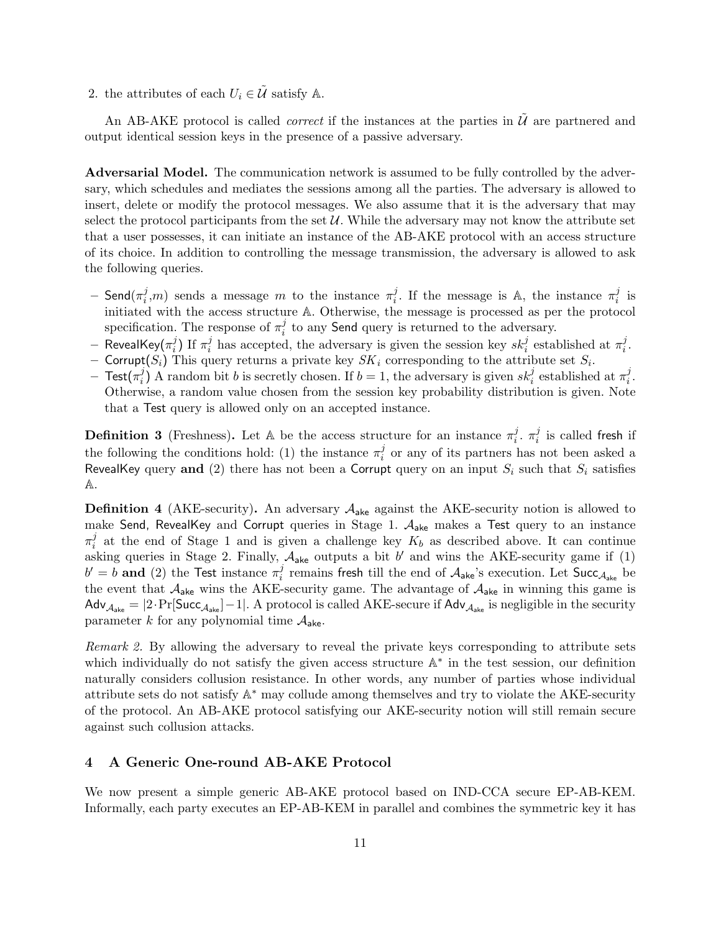2. the attributes of each  $U_i \in \tilde{\mathcal{U}}$  satisfy A.

An AB-AKE protocol is called *correct* if the instances at the parties in  $\tilde{U}$  are partnered and output identical session keys in the presence of a passive adversary.

Adversarial Model. The communication network is assumed to be fully controlled by the adversary, which schedules and mediates the sessions among all the parties. The adversary is allowed to insert, delete or modify the protocol messages. We also assume that it is the adversary that may select the protocol participants from the set  $U$ . While the adversary may not know the attribute set that a user possesses, it can initiate an instance of the AB-AKE protocol with an access structure of its choice. In addition to controlling the message transmission, the adversary is allowed to ask the following queries.

- $-$  Send $(\pi_i^j)$  $(i,m)$  sends a message m to the instance  $\pi_i^j$  $i$ . If the message is A, the instance  $\pi_i^j$  $\frac{j}{i}$  is initiated with the access structure A. Otherwise, the message is processed as per the protocol specification. The response of  $\pi_i^j$  $i$  to any Send query is returned to the adversary.
- $-$  RevealKey $(\pi_i^j)$  $\binom{j}{i}$  If  $\pi_i^j$  $i$  has accepted, the adversary is given the session key  $sk_i^j$  established at  $\pi_i^j$  $\frac{j}{i}$ .
- Corrupt(S<sub>i</sub>) This query returns a private key  $SK_i$  corresponding to the attribute set  $S_i$ .
- $-$  Test $(\pi_i^j)$  $\sigma_i^j$ ) A random bit b is secretly chosen. If  $b=1$ , the adversary is given  $sk_i^j$  established at  $\pi_i^j$  $\frac{j}{i}$ . Otherwise, a random value chosen from the session key probability distribution is given. Note that a Test query is allowed only on an accepted instance.

**Definition 3** (Freshness). Let A be the access structure for an instance  $\pi_i^j$  $\frac{j}{i}$ .  $\pi$ <sup> $j$ </sup>  $\frac{\partial}{\partial i}$  is called fresh if the following the conditions hold: (1) the instance  $\pi_i^j$  $i<sub>i</sub>$  or any of its partners has not been asked a RevealKey query and (2) there has not been a Corrupt query on an input  $S_i$  such that  $S_i$  satisfies A.

**Definition 4** (AKE-security). An adversary  $A_{\text{ake}}$  against the AKE-security notion is allowed to make Send, RevealKey and Corrupt queries in Stage 1.  $A_{\text{ake}}$  makes a Test query to an instance  $\pi_i^j$  $i<sub>i</sub>$  at the end of Stage 1 and is given a challenge key  $K_b$  as described above. It can continue asking queries in Stage 2. Finally,  $A_{ake}$  outputs a bit b' and wins the AKE-security game if (1)  $b' = b$  and (2) the Test instance  $\pi_i^j$  $\mu_i^j$  remains fresh till the end of  $\mathcal{A}_{\mathsf{ake}}$ 's execution. Let  $\mathsf{Succ}_{\mathcal{A}_{\mathsf{ake}}}$  be the event that  $A_{abc}$  wins the AKE-security game. The advantage of  $A_{abc}$  in winning this game is  $\text{Adv}_{A_{\text{ake}}} = |2 \cdot \text{Pr}[\text{Succ}_{A_{\text{ake}}}] - 1|$ . A protocol is called AKE-secure if  $\text{Adv}_{A_{\text{ake}}}$  is negligible in the security parameter k for any polynomial time  $A_{\text{ake}}$ .

Remark 2. By allowing the adversary to reveal the private keys corresponding to attribute sets which individually do not satisfy the given access structure  $\mathbb{A}^*$  in the test session, our definition naturally considers collusion resistance. In other words, any number of parties whose individual attribute sets do not satisfy A<sup>\*</sup> may collude among themselves and try to violate the AKE-security of the protocol. An AB-AKE protocol satisfying our AKE-security notion will still remain secure against such collusion attacks.

### 4 A Generic One-round AB-AKE Protocol

We now present a simple generic AB-AKE protocol based on IND-CCA secure EP-AB-KEM. Informally, each party executes an EP-AB-KEM in parallel and combines the symmetric key it has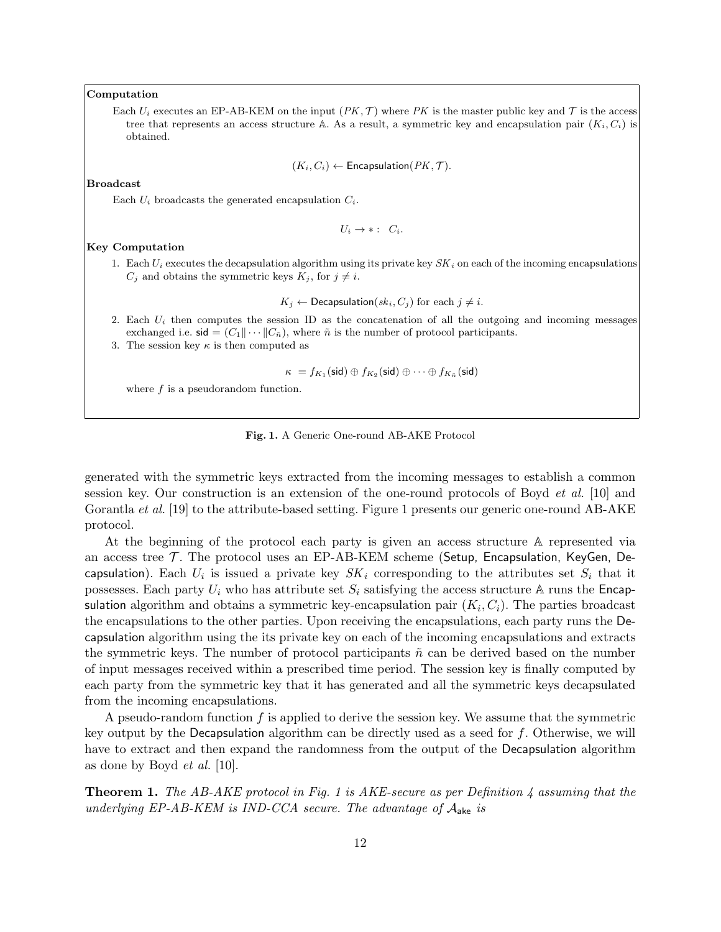#### Computation

Each  $U_i$  executes an EP-AB-KEM on the input  $(PK, \mathcal{T})$  where PK is the master public key and  $\mathcal{T}$  is the access tree that represents an access structure A. As a result, a symmetric key and encapsulation pair  $(K_i, C_i)$  is obtained.

$$
(K_i, C_i) \leftarrow \text{Encapsulation}(PK, \mathcal{T}).
$$

Broadcast

Each  $U_i$  broadcasts the generated encapsulation  $C_i$ .

 $U_i \rightarrow * : C_i$ .

#### Key Computation

1. Each  $U_i$  executes the decapsulation algorithm using its private key  $SK_i$  on each of the incoming encapsulations  $C_j$  and obtains the symmetric keys  $K_j$ , for  $j \neq i$ .

$$
K_j \leftarrow
$$
 Decapsulation( $sk_i, C_j$ ) for each  $j \neq i$ .

- 2. Each  $U_i$  then computes the session ID as the concatenation of all the outgoing and incoming messages exchanged i.e.  $\mathsf{sid} = (C_1 \| \cdots \| C_{\tilde{n}})$ , where  $\tilde{n}$  is the number of protocol participants.
- 3. The session key  $\kappa$  is then computed as

$$
\kappa = f_{K_1}(\mathsf{sid}) \oplus f_{K_2}(\mathsf{sid}) \oplus \cdots \oplus f_{K_{\tilde{n}}}(\mathsf{sid})
$$

where  $f$  is a pseudorandom function.

#### Fig. 1. A Generic One-round AB-AKE Protocol

generated with the symmetric keys extracted from the incoming messages to establish a common session key. Our construction is an extension of the one-round protocols of Boyd et al. [10] and Gorantla et al. [19] to the attribute-based setting. Figure 1 presents our generic one-round AB-AKE protocol.

At the beginning of the protocol each party is given an access structure A represented via an access tree  $\mathcal T$ . The protocol uses an EP-AB-KEM scheme (Setup, Encapsulation, KeyGen, Decapsulation). Each  $U_i$  is issued a private key  $SK_i$  corresponding to the attributes set  $S_i$  that it possesses. Each party  $U_i$  who has attribute set  $S_i$  satisfying the access structure A runs the Encapsulation algorithm and obtains a symmetric key-encapsulation pair  $(K_i, C_i)$ . The parties broadcast the encapsulations to the other parties. Upon receiving the encapsulations, each party runs the Decapsulation algorithm using the its private key on each of the incoming encapsulations and extracts the symmetric keys. The number of protocol participants  $\tilde{n}$  can be derived based on the number of input messages received within a prescribed time period. The session key is finally computed by each party from the symmetric key that it has generated and all the symmetric keys decapsulated from the incoming encapsulations.

A pseudo-random function  $f$  is applied to derive the session key. We assume that the symmetric key output by the Decapsulation algorithm can be directly used as a seed for  $f$ . Otherwise, we will have to extract and then expand the randomness from the output of the Decapsulation algorithm as done by Boyd et al. [10].

**Theorem 1.** The AB-AKE protocol in Fig. 1 is AKE-secure as per Definition 4 assuming that the underlying EP-AB-KEM is IND-CCA secure. The advantage of  $A_{\text{ake}}$  is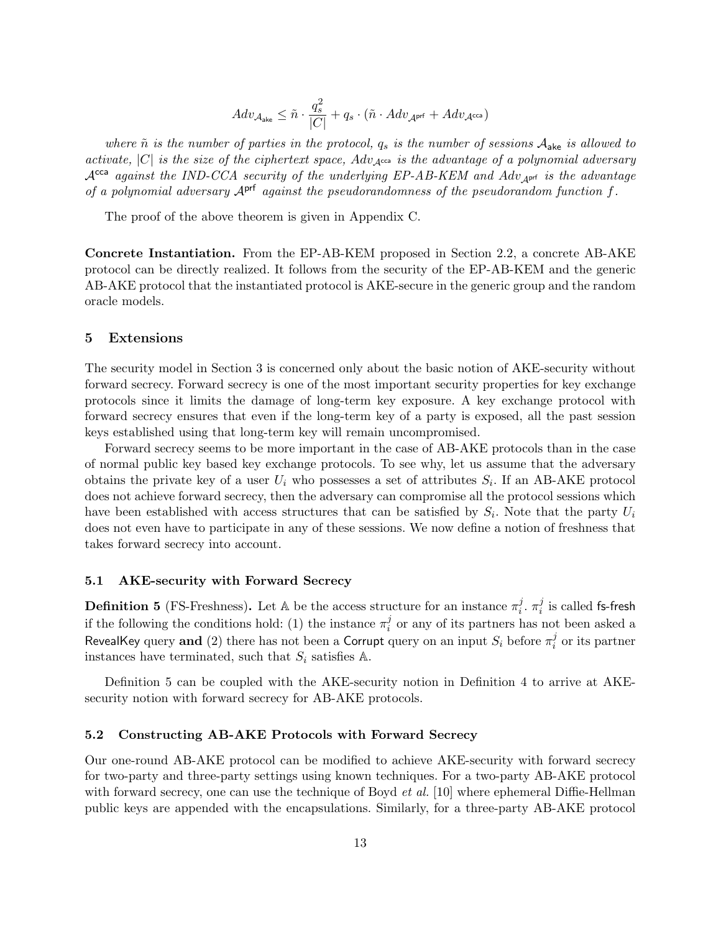$$
Adv_{\mathcal{A}_{\mathsf{ake}}} \leq \tilde{n} \cdot \frac{q_s^2}{|C|} + q_s \cdot (\tilde{n} \cdot Adv_{\mathcal{A}^{\mathsf{prf}}} + Adv_{\mathcal{A}^{\mathsf{cca}}})
$$

where  $\tilde{n}$  is the number of parties in the protocol,  $q_s$  is the number of sessions  $A_{\text{ake}}$  is allowed to activate,  $|C|$  is the size of the ciphertext space,  $Adv_{A^{cca}}$  is the advantage of a polynomial adversary  $A^{cca}$  against the IND-CCA security of the underlying EP-AB-KEM and Adv<sub>Aprf</sub> is the advantage of a polynomial adversary  $A<sup>prf</sup>$  against the pseudorandomness of the pseudorandom function f.

The proof of the above theorem is given in Appendix C.

Concrete Instantiation. From the EP-AB-KEM proposed in Section 2.2, a concrete AB-AKE protocol can be directly realized. It follows from the security of the EP-AB-KEM and the generic AB-AKE protocol that the instantiated protocol is AKE-secure in the generic group and the random oracle models.

### 5 Extensions

The security model in Section 3 is concerned only about the basic notion of AKE-security without forward secrecy. Forward secrecy is one of the most important security properties for key exchange protocols since it limits the damage of long-term key exposure. A key exchange protocol with forward secrecy ensures that even if the long-term key of a party is exposed, all the past session keys established using that long-term key will remain uncompromised.

Forward secrecy seems to be more important in the case of AB-AKE protocols than in the case of normal public key based key exchange protocols. To see why, let us assume that the adversary obtains the private key of a user  $U_i$  who possesses a set of attributes  $S_i$ . If an AB-AKE protocol does not achieve forward secrecy, then the adversary can compromise all the protocol sessions which have been established with access structures that can be satisfied by  $S_i$ . Note that the party  $U_i$ does not even have to participate in any of these sessions. We now define a notion of freshness that takes forward secrecy into account.

#### 5.1 AKE-security with Forward Secrecy

**Definition 5** (FS-Freshness). Let A be the access structure for an instance  $\pi_i^j$  $\frac{j}{i}$ .  $\pi_i^j$  $i$  is called fs-fresh if the following the conditions hold: (1) the instance  $\pi_i^j$  $i<sub>i</sub>$  or any of its partners has not been asked a RevealKey query and (2) there has not been a Corrupt query on an input  $S_i$  before  $\pi_i^j$  $i$  or its partner instances have terminated, such that  $S_i$  satisfies  $\mathbb{A}$ .

Definition 5 can be coupled with the AKE-security notion in Definition 4 to arrive at AKEsecurity notion with forward secrecy for AB-AKE protocols.

### 5.2 Constructing AB-AKE Protocols with Forward Secrecy

Our one-round AB-AKE protocol can be modified to achieve AKE-security with forward secrecy for two-party and three-party settings using known techniques. For a two-party AB-AKE protocol with forward secrecy, one can use the technique of Boyd *et al.* [10] where ephemeral Diffie-Hellman public keys are appended with the encapsulations. Similarly, for a three-party AB-AKE protocol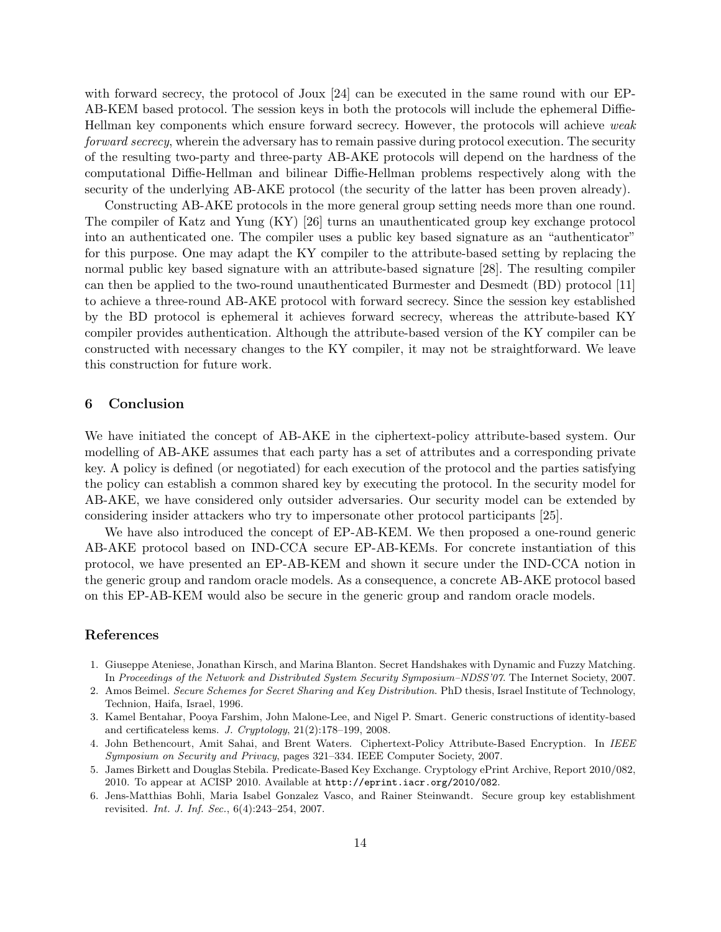with forward secrecy, the protocol of Joux [24] can be executed in the same round with our EP-AB-KEM based protocol. The session keys in both the protocols will include the ephemeral Diffie-Hellman key components which ensure forward secrecy. However, the protocols will achieve weak forward secrecy, wherein the adversary has to remain passive during protocol execution. The security of the resulting two-party and three-party AB-AKE protocols will depend on the hardness of the computational Diffie-Hellman and bilinear Diffie-Hellman problems respectively along with the security of the underlying AB-AKE protocol (the security of the latter has been proven already).

Constructing AB-AKE protocols in the more general group setting needs more than one round. The compiler of Katz and Yung (KY) [26] turns an unauthenticated group key exchange protocol into an authenticated one. The compiler uses a public key based signature as an "authenticator" for this purpose. One may adapt the KY compiler to the attribute-based setting by replacing the normal public key based signature with an attribute-based signature [28]. The resulting compiler can then be applied to the two-round unauthenticated Burmester and Desmedt (BD) protocol [11] to achieve a three-round AB-AKE protocol with forward secrecy. Since the session key established by the BD protocol is ephemeral it achieves forward secrecy, whereas the attribute-based KY compiler provides authentication. Although the attribute-based version of the KY compiler can be constructed with necessary changes to the KY compiler, it may not be straightforward. We leave this construction for future work.

## 6 Conclusion

We have initiated the concept of AB-AKE in the ciphertext-policy attribute-based system. Our modelling of AB-AKE assumes that each party has a set of attributes and a corresponding private key. A policy is defined (or negotiated) for each execution of the protocol and the parties satisfying the policy can establish a common shared key by executing the protocol. In the security model for AB-AKE, we have considered only outsider adversaries. Our security model can be extended by considering insider attackers who try to impersonate other protocol participants [25].

We have also introduced the concept of EP-AB-KEM. We then proposed a one-round generic AB-AKE protocol based on IND-CCA secure EP-AB-KEMs. For concrete instantiation of this protocol, we have presented an EP-AB-KEM and shown it secure under the IND-CCA notion in the generic group and random oracle models. As a consequence, a concrete AB-AKE protocol based on this EP-AB-KEM would also be secure in the generic group and random oracle models.

### References

- 1. Giuseppe Ateniese, Jonathan Kirsch, and Marina Blanton. Secret Handshakes with Dynamic and Fuzzy Matching. In Proceedings of the Network and Distributed System Security Symposium–NDSS'07. The Internet Society, 2007.
- 2. Amos Beimel. Secure Schemes for Secret Sharing and Key Distribution. PhD thesis, Israel Institute of Technology, Technion, Haifa, Israel, 1996.
- 3. Kamel Bentahar, Pooya Farshim, John Malone-Lee, and Nigel P. Smart. Generic constructions of identity-based and certificateless kems. J. Cryptology, 21(2):178–199, 2008.
- 4. John Bethencourt, Amit Sahai, and Brent Waters. Ciphertext-Policy Attribute-Based Encryption. In IEEE Symposium on Security and Privacy, pages 321–334. IEEE Computer Society, 2007.
- 5. James Birkett and Douglas Stebila. Predicate-Based Key Exchange. Cryptology ePrint Archive, Report 2010/082, 2010. To appear at ACISP 2010. Available at http://eprint.iacr.org/2010/082.
- 6. Jens-Matthias Bohli, Maria Isabel Gonzalez Vasco, and Rainer Steinwandt. Secure group key establishment revisited. Int. J. Inf. Sec., 6(4):243–254, 2007.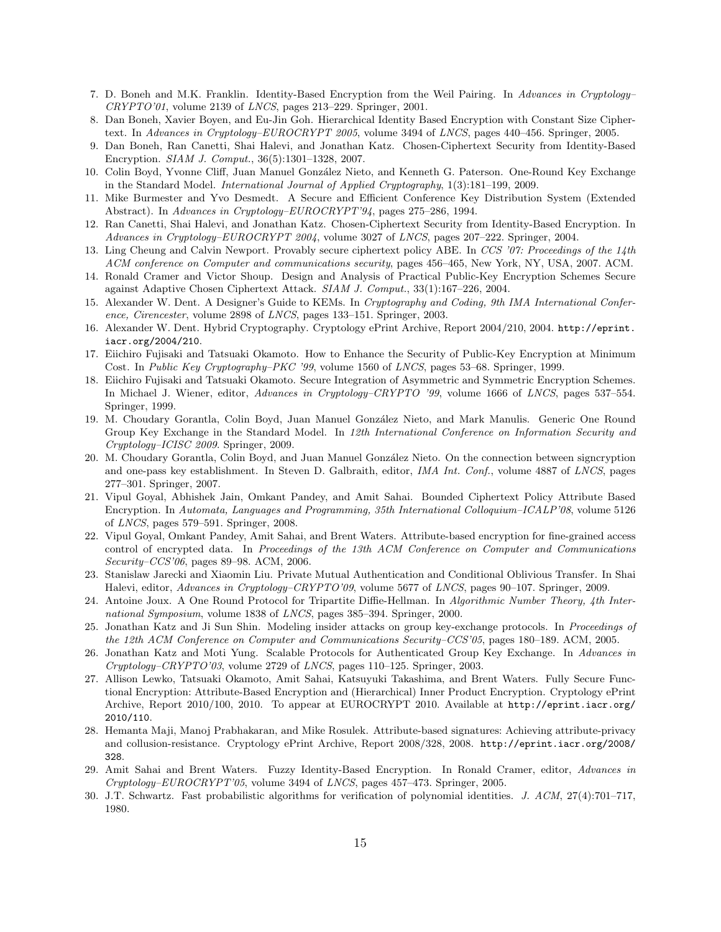- 7. D. Boneh and M.K. Franklin. Identity-Based Encryption from the Weil Pairing. In Advances in Cryptology–  $CRYPTO'01$ , volume 2139 of  $LNCS$ , pages 213–229. Springer, 2001.
- 8. Dan Boneh, Xavier Boyen, and Eu-Jin Goh. Hierarchical Identity Based Encryption with Constant Size Ciphertext. In Advances in Cryptology–EUROCRYPT 2005, volume 3494 of LNCS, pages 440–456. Springer, 2005.
- 9. Dan Boneh, Ran Canetti, Shai Halevi, and Jonathan Katz. Chosen-Ciphertext Security from Identity-Based Encryption. SIAM J. Comput., 36(5):1301–1328, 2007.
- 10. Colin Boyd, Yvonne Cliff, Juan Manuel González Nieto, and Kenneth G. Paterson. One-Round Key Exchange in the Standard Model. International Journal of Applied Cryptography, 1(3):181–199, 2009.
- 11. Mike Burmester and Yvo Desmedt. A Secure and Efficient Conference Key Distribution System (Extended Abstract). In Advances in Cryptology–EUROCRYPT'94, pages 275–286, 1994.
- 12. Ran Canetti, Shai Halevi, and Jonathan Katz. Chosen-Ciphertext Security from Identity-Based Encryption. In Advances in Cryptology–EUROCRYPT 2004, volume 3027 of LNCS, pages 207–222. Springer, 2004.
- 13. Ling Cheung and Calvin Newport. Provably secure ciphertext policy ABE. In CCS '07: Proceedings of the 14th ACM conference on Computer and communications security, pages 456–465, New York, NY, USA, 2007. ACM.
- 14. Ronald Cramer and Victor Shoup. Design and Analysis of Practical Public-Key Encryption Schemes Secure against Adaptive Chosen Ciphertext Attack. SIAM J. Comput., 33(1):167-226, 2004.
- 15. Alexander W. Dent. A Designer's Guide to KEMs. In Cryptography and Coding, 9th IMA International Conference, Cirencester, volume 2898 of LNCS, pages 133–151. Springer, 2003.
- 16. Alexander W. Dent. Hybrid Cryptography. Cryptology ePrint Archive, Report 2004/210, 2004. http://eprint. iacr.org/2004/210.
- 17. Eiichiro Fujisaki and Tatsuaki Okamoto. How to Enhance the Security of Public-Key Encryption at Minimum Cost. In Public Key Cryptography–PKC '99, volume 1560 of LNCS, pages 53–68. Springer, 1999.
- 18. Eiichiro Fujisaki and Tatsuaki Okamoto. Secure Integration of Asymmetric and Symmetric Encryption Schemes. In Michael J. Wiener, editor, Advances in Cryptology–CRYPTO '99, volume 1666 of LNCS, pages 537–554. Springer, 1999.
- 19. M. Choudary Gorantla, Colin Boyd, Juan Manuel González Nieto, and Mark Manulis. Generic One Round Group Key Exchange in the Standard Model. In 12th International Conference on Information Security and Cryptology–ICISC 2009. Springer, 2009.
- 20. M. Choudary Gorantla, Colin Boyd, and Juan Manuel Gonz´alez Nieto. On the connection between signcryption and one-pass key establishment. In Steven D. Galbraith, editor, IMA Int. Conf., volume 4887 of LNCS, pages 277–301. Springer, 2007.
- 21. Vipul Goyal, Abhishek Jain, Omkant Pandey, and Amit Sahai. Bounded Ciphertext Policy Attribute Based Encryption. In Automata, Languages and Programming, 35th International Colloquium–ICALP'08, volume 5126 of LNCS, pages 579–591. Springer, 2008.
- 22. Vipul Goyal, Omkant Pandey, Amit Sahai, and Brent Waters. Attribute-based encryption for fine-grained access control of encrypted data. In Proceedings of the 13th ACM Conference on Computer and Communications Security–CCS'06, pages 89–98. ACM, 2006.
- 23. Stanislaw Jarecki and Xiaomin Liu. Private Mutual Authentication and Conditional Oblivious Transfer. In Shai Halevi, editor, Advances in Cryptology–CRYPTO'09, volume 5677 of LNCS, pages 90–107. Springer, 2009.
- 24. Antoine Joux. A One Round Protocol for Tripartite Diffie-Hellman. In Algorithmic Number Theory, 4th International Symposium, volume 1838 of LNCS, pages 385-394. Springer, 2000.
- 25. Jonathan Katz and Ji Sun Shin. Modeling insider attacks on group key-exchange protocols. In Proceedings of the 12th ACM Conference on Computer and Communications Security–CCS'05, pages 180–189. ACM, 2005.
- 26. Jonathan Katz and Moti Yung. Scalable Protocols for Authenticated Group Key Exchange. In Advances in Cryptology–CRYPTO'03, volume 2729 of LNCS, pages 110–125. Springer, 2003.
- 27. Allison Lewko, Tatsuaki Okamoto, Amit Sahai, Katsuyuki Takashima, and Brent Waters. Fully Secure Functional Encryption: Attribute-Based Encryption and (Hierarchical) Inner Product Encryption. Cryptology ePrint Archive, Report 2010/100, 2010. To appear at EUROCRYPT 2010. Available at http://eprint.iacr.org/ 2010/110.
- 28. Hemanta Maji, Manoj Prabhakaran, and Mike Rosulek. Attribute-based signatures: Achieving attribute-privacy and collusion-resistance. Cryptology ePrint Archive, Report 2008/328, 2008. http://eprint.iacr.org/2008/ 328.
- 29. Amit Sahai and Brent Waters. Fuzzy Identity-Based Encryption. In Ronald Cramer, editor, Advances in Cryptology–EUROCRYPT'05, volume 3494 of LNCS, pages 457–473. Springer, 2005.
- 30. J.T. Schwartz. Fast probabilistic algorithms for verification of polynomial identities. J. ACM, 27(4):701–717, 1980.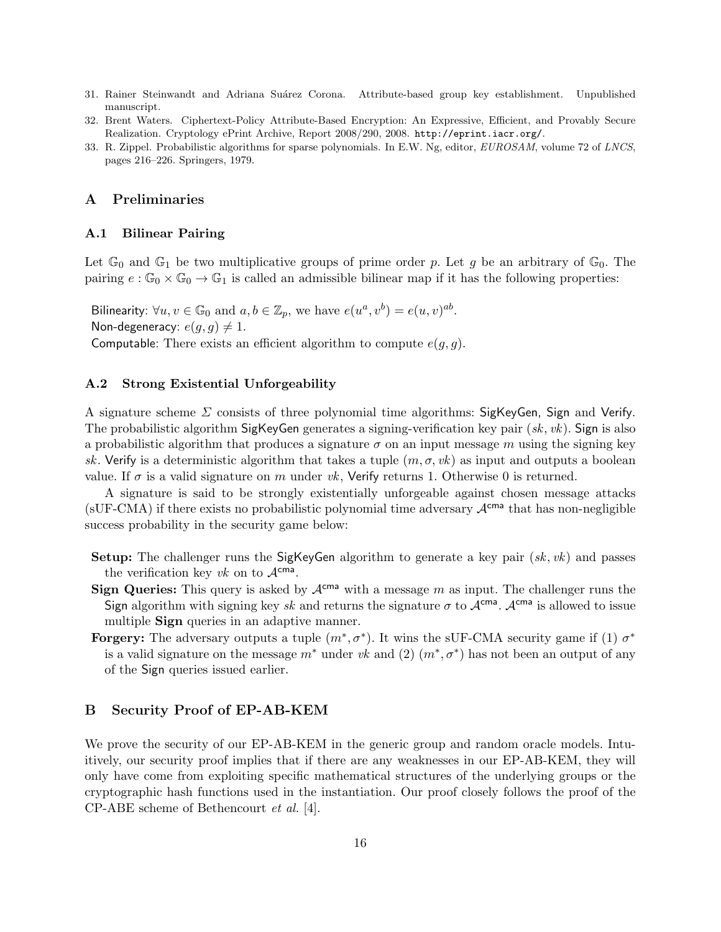- 31. Rainer Steinwandt and Adriana Suárez Corona. Attribute-based group key establishment. Unpublished manuscript.
- 32. Brent Waters. Ciphertext-Policy Attribute-Based Encryption: An Expressive, Efficient, and Provably Secure Realization. Cryptology ePrint Archive, Report 2008/290, 2008. http://eprint.iacr.org/.
- 33. R. Zippel. Probabilistic algorithms for sparse polynomials. In E.W. Ng, editor, EUROSAM, volume 72 of LNCS, pages 216–226. Springers, 1979.

## A Preliminaries

### A.1 Bilinear Pairing

Let  $\mathbb{G}_0$  and  $\mathbb{G}_1$  be two multiplicative groups of prime order p. Let g be an arbitrary of  $\mathbb{G}_0$ . The pairing  $e : \mathbb{G}_0 \times \mathbb{G}_0 \to \mathbb{G}_1$  is called an admissible bilinear map if it has the following properties:

Bilinearity:  $\forall u, v \in \mathbb{G}_0$  and  $a, b \in \mathbb{Z}_p$ , we have  $e(u^a, v^b) = e(u, v)^{ab}$ . Non-degeneracy:  $e(g, g) \neq 1$ . Computable: There exists an efficient algorithm to compute  $e(g, g)$ .

### A.2 Strong Existential Unforgeability

A signature scheme  $\Sigma$  consists of three polynomial time algorithms: SigKeyGen, Sign and Verify. The probabilistic algorithm SigKeyGen generates a signing-verification key pair  $(s_k, vk)$ . Sign is also a probabilistic algorithm that produces a signature  $\sigma$  on an input message m using the signing key sk. Verify is a deterministic algorithm that takes a tuple  $(m, \sigma, vk)$  as input and outputs a boolean value. If  $\sigma$  is a valid signature on m under vk, Verify returns 1. Otherwise 0 is returned.

A signature is said to be strongly existentially unforgeable against chosen message attacks (sUF-CMA) if there exists no probabilistic polynomial time adversary  $\mathcal{A}^{\text{cma}}$  that has non-negligible success probability in the security game below:

- **Setup:** The challenger runs the SigKeyGen algorithm to generate a key pair  $(s_k, vk)$  and passes the verification key  $vk$  on to  $\mathcal{A}^{cma}$ .
- **Sign Queries:** This query is asked by  $A^{cma}$  with a message m as input. The challenger runs the Sign algorithm with signing key sk and returns the signature  $\sigma$  to  $\mathcal{A}^{\text{cma}}$ .  $\mathcal{A}^{\text{cma}}$  is allowed to issue multiple **Sign** queries in an adaptive manner.
- **Forgery:** The adversary outputs a tuple  $(m^*, \sigma^*)$ . It wins the sUF-CMA security game if (1)  $\sigma^*$ is a valid signature on the message  $m^*$  under vk and (2)  $(m^*, \sigma^*)$  has not been an output of any of the Sign queries issued earlier.

## B Security Proof of EP-AB-KEM

We prove the security of our EP-AB-KEM in the generic group and random oracle models. Intuitively, our security proof implies that if there are any weaknesses in our EP-AB-KEM, they will only have come from exploiting specific mathematical structures of the underlying groups or the cryptographic hash functions used in the instantiation. Our proof closely follows the proof of the CP-ABE scheme of Bethencourt et al. [4].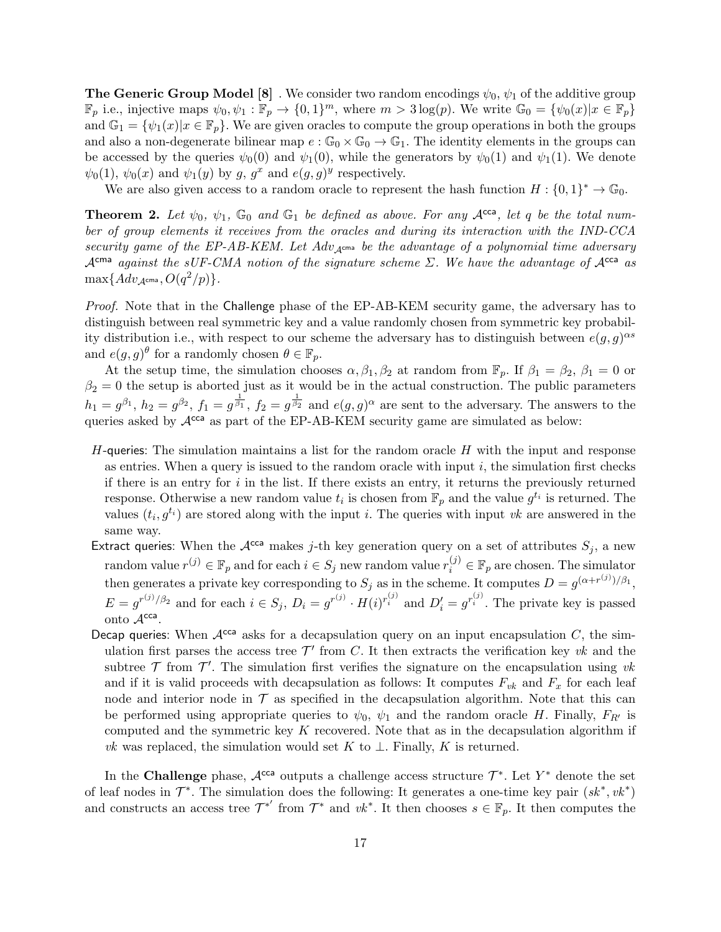**The Generic Group Model [8]**. We consider two random encodings  $\psi_0$ ,  $\psi_1$  of the additive group  $\mathbb{F}_p$  i.e., injective maps  $\psi_0, \psi_1 : \mathbb{F}_p \to \{0, 1\}^m$ , where  $m > 3 \log(p)$ . We write  $\mathbb{G}_0 = {\psi_0(x)|x \in \mathbb{F}_p}$ and  $\mathbb{G}_1 = {\psi_1(x) | x \in \mathbb{F}_p}$ . We are given oracles to compute the group operations in both the groups and also a non-degenerate bilinear map  $e : \mathbb{G}_0 \times \mathbb{G}_0 \to \mathbb{G}_1$ . The identity elements in the groups can be accessed by the queries  $\psi_0(0)$  and  $\psi_1(0)$ , while the generators by  $\psi_0(1)$  and  $\psi_1(1)$ . We denote  $\psi_0(1)$ ,  $\psi_0(x)$  and  $\psi_1(y)$  by g,  $g^x$  and  $e(g, g)^y$  respectively.

We are also given access to a random oracle to represent the hash function  $H: \{0,1\}^* \to \mathbb{G}_0$ .

**Theorem 2.** Let  $\psi_0$ ,  $\psi_1$ ,  $\mathbb{G}_0$  and  $\mathbb{G}_1$  be defined as above. For any  $\mathcal{A}^{cca}$ , let q be the total number of group elements it receives from the oracles and during its interaction with the IND-CCA security game of the EP-AB-KEM. Let  $Adv_{\mathcal{A}^{cm}}$  be the advantage of a polynomial time adversary  $\mathcal{A}^{cma}$  against the sUF-CMA notion of the signature scheme  $\Sigma$ . We have the advantage of  $\mathcal{A}^{cca}$  as  $\max\{Adv_{\mathcal{A}^{\mathsf{cma}}}, O(q^2/p)\}.$ 

Proof. Note that in the Challenge phase of the EP-AB-KEM security game, the adversary has to distinguish between real symmetric key and a value randomly chosen from symmetric key probability distribution i.e., with respect to our scheme the adversary has to distinguish between  $e(g, g)^{\alpha s}$ and  $e(g, g)^\theta$  for a randomly chosen  $\theta \in \mathbb{F}_p$ .

At the setup time, the simulation chooses  $\alpha, \beta_1, \beta_2$  at random from  $\mathbb{F}_p$ . If  $\beta_1 = \beta_2$ ,  $\beta_1 = 0$  or  $\beta_2 = 0$  the setup is aborted just as it would be in the actual construction. The public parameters  $h_1 = g^{\beta_1}, h_2 = g^{\beta_2}, f_1 = g^{\frac{1}{\beta_1}}, f_2 = g^{\frac{1}{\beta_2}}$  and  $e(g, g)^{\alpha}$  are sent to the adversary. The answers to the queries asked by  $A^{cca}$  as part of the EP-AB-KEM security game are simulated as below:

- $H$ -queries: The simulation maintains a list for the random oracle  $H$  with the input and response as entries. When a query is issued to the random oracle with input  $i$ , the simulation first checks if there is an entry for  $i$  in the list. If there exists an entry, it returns the previously returned response. Otherwise a new random value  $t_i$  is chosen from  $\mathbb{F}_p$  and the value  $g^{t_i}$  is returned. The values  $(t_i, g^{t_i})$  are stored along with the input *i*. The queries with input *vk* are answered in the same way.
- Extract queries: When the  $A^{cca}$  makes j-th key generation query on a set of attributes  $S_j$ , a new random value  $r^{(j)} \in \mathbb{F}_p$  and for each  $i \in S_j$  new random value  $r_i^{(j)} \in \mathbb{F}_p$  are chosen. The simulator then generates a private key corresponding to  $S_j$  as in the scheme. It computes  $D = g^{(\alpha+r^{(j)})/\beta_1}$ ,  $E = g^{r^{(j)}/\beta_2}$  and for each  $i \in S_j$ ,  $D_i = g^{r^{(j)}} \cdot H(i)^{r_i^{(j)}}$  and  $D'_i = g^{r_i^{(j)}}$ . The private key is passed onto  $\mathcal{A}^{\text{cca}}$ .
- Decap queries: When  $A^{cca}$  asks for a decapsulation query on an input encapsulation C, the simulation first parses the access tree  $\mathcal{T}'$  from C. It then extracts the verification key vk and the subtree  $\mathcal T$  from  $\mathcal T'$ . The simulation first verifies the signature on the encapsulation using vk and if it is valid proceeds with decapsulation as follows: It computes  $F_{vk}$  and  $F_x$  for each leaf node and interior node in  $\mathcal T$  as specified in the decapsulation algorithm. Note that this can be performed using appropriate queries to  $\psi_0$ ,  $\psi_1$  and the random oracle H. Finally,  $F_{R'}$  is computed and the symmetric key  $K$  recovered. Note that as in the decapsulation algorithm if vk was replaced, the simulation would set K to  $\bot$ . Finally, K is returned.

In the Challenge phase,  $\mathcal{A}^{cca}$  outputs a challenge access structure  $\mathcal{T}^*$ . Let  $Y^*$  denote the set of leaf nodes in  $\mathcal{T}^*$ . The simulation does the following: It generates a one-time key pair  $(s k^*, v k^*)$ and constructs an access tree  $\mathcal{T}^*$  from  $\mathcal{T}^*$  and  $vk^*$ . It then chooses  $s \in \mathbb{F}_p$ . It then computes the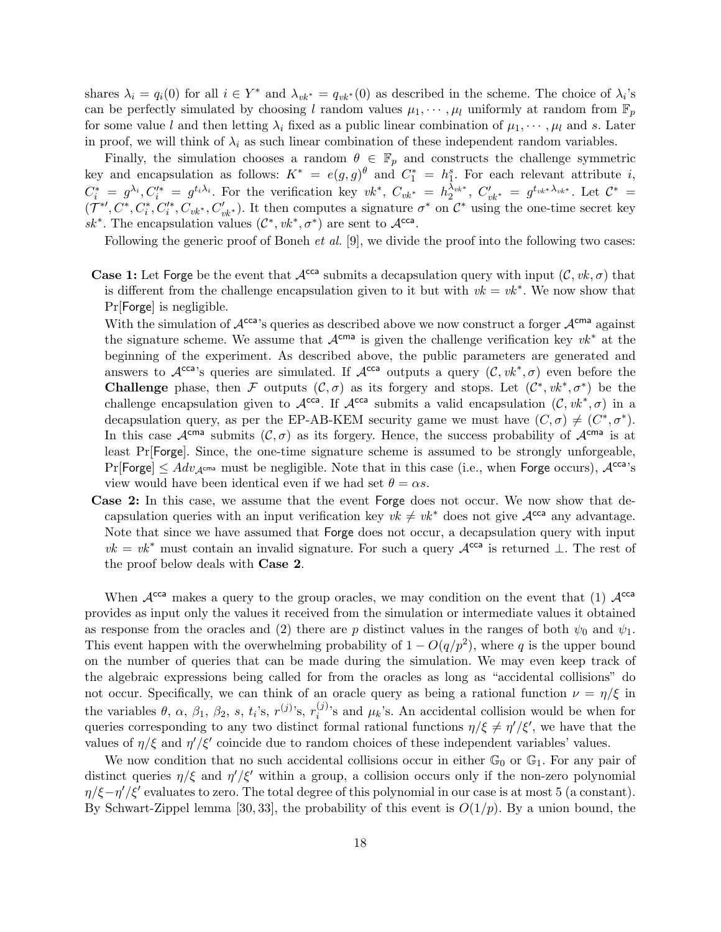shares  $\lambda_i = q_i(0)$  for all  $i \in Y^*$  and  $\lambda_{vk^*} = q_{vk^*}(0)$  as described in the scheme. The choice of  $\lambda_i$ 's can be perfectly simulated by choosing l random values  $\mu_1, \dots, \mu_l$  uniformly at random from  $\mathbb{F}_p$ for some value l and then letting  $\lambda_i$  fixed as a public linear combination of  $\mu_1, \dots, \mu_l$  and s. Later in proof, we will think of  $\lambda_i$  as such linear combination of these independent random variables.

Finally, the simulation chooses a random  $\theta \in \mathbb{F}_p$  and constructs the challenge symmetric key and encapsulation as follows:  $K^* = e(g, g)$ <sup> $\theta$ </sup> and  $C_1^* = h_1^s$ . For each relevant attribute *i*,  $C_i^* = g^{\lambda_i}, C_i'^* = g^{t_i \lambda_i}$ . For the verification key  $vk^*$ ,  $C_{vk^*} = h_2^{\lambda_{vk^*}}, C_{vk^*}' = g^{t_{vk^*}\lambda_{vk^*}}$ . Let  $\mathcal{C}^* =$  $(\mathcal{T}^{*}, C^*, C^*_i, C'^*_{i}, C'_{vk^*}, C'_{vk^*})$ . It then computes a signature  $\sigma^*$  on  $\mathcal{C}^*$  using the one-time secret key sk<sup>\*</sup>. The encapsulation values  $(C^*, vk^*,\sigma^*)$  are sent to  $\mathcal{A}^{\text{cca}}$ .

Following the generic proof of Boneh *et al.* [9], we divide the proof into the following two cases:

**Case 1:** Let Forge be the event that  $A^{cca}$  submits a decapsulation query with input  $(C, vk, σ)$  that is different from the challenge encapsulation given to it but with  $vk = vk^*$ . We now show that Pr[Forge] is negligible.

With the simulation of  $A^{cca}$ 's queries as described above we now construct a forger  $A^{cma}$  against the signature scheme. We assume that  $A^{cma}$  is given the challenge verification key  $vk^*$  at the beginning of the experiment. As described above, the public parameters are generated and answers to  $\mathcal{A}^{cca}$ 's queries are simulated. If  $\mathcal{A}^{cca}$  outputs a query  $(\mathcal{C}, v k^*, \sigma)$  even before the **Challenge** phase, then F outputs  $(C, \sigma)$  as its forgery and stops. Let  $(C^*, vk^*,\sigma^*)$  be the challenge encapsulation given to  $\mathcal{A}^{cca}$ . If  $\mathcal{A}^{cca}$  submits a valid encapsulation  $(\mathcal{C}, vk^*,\sigma)$  in a decapsulation query, as per the EP-AB-KEM security game we must have  $(C, \sigma) \neq (C^*, \sigma^*)$ . In this case  $\mathcal{A}^{cma}$  submits  $(\mathcal{C}, \sigma)$  as its forgery. Hence, the success probability of  $\mathcal{A}^{cma}$  is at least Pr[Forge]. Since, the one-time signature scheme is assumed to be strongly unforgeable,  $Pr[Forge] \le Adv_{\mathcal{A}}_{\text{cm}}$  must be negligible. Note that in this case (i.e., when Forge occurs),  $\mathcal{A}^{cca}$ 's view would have been identical even if we had set  $\theta = \alpha s$ .

Case 2: In this case, we assume that the event Forge does not occur. We now show that decapsulation queries with an input verification key  $vk \neq vk^*$  does not give  $\mathcal{A}^{cca}$  any advantage. Note that since we have assumed that Forge does not occur, a decapsulation query with input  $vk = vk^*$  must contain an invalid signature. For such a query  $\mathcal{A}^{cca}$  is returned ⊥. The rest of the proof below deals with Case 2.

When  $A^{cca}$  makes a query to the group oracles, we may condition on the event that (1)  $A^{cca}$ provides as input only the values it received from the simulation or intermediate values it obtained as response from the oracles and (2) there are p distinct values in the ranges of both  $\psi_0$  and  $\psi_1$ . This event happen with the overwhelming probability of  $1 - O(q/p^2)$ , where q is the upper bound on the number of queries that can be made during the simulation. We may even keep track of the algebraic expressions being called for from the oracles as long as "accidental collisions" do not occur. Specifically, we can think of an oracle query as being a rational function  $\nu = \eta/\xi$  in the variables  $\theta$ ,  $\alpha$ ,  $\beta_1$ ,  $\beta_2$ ,  $s$ ,  $t_i$ 's,  $r_i^{(j)}$ 's,  $r_i^{(j)}$  $\mu_k$ 's. An accidental collision would be when for queries corresponding to any two distinct formal rational functions  $\eta/\xi \neq \eta'/\xi'$ , we have that the values of  $\eta/\xi$  and  $\eta'/\xi'$  coincide due to random choices of these independent variables' values.

We now condition that no such accidental collisions occur in either  $\mathbb{G}_0$  or  $\mathbb{G}_1$ . For any pair of distinct queries  $\eta/\xi$  and  $\eta'/\xi'$  within a group, a collision occurs only if the non-zero polynomial  $\eta/\xi-\eta'/\xi'$  evaluates to zero. The total degree of this polynomial in our case is at most 5 (a constant). By Schwart-Zippel lemma [30, 33], the probability of this event is  $O(1/p)$ . By a union bound, the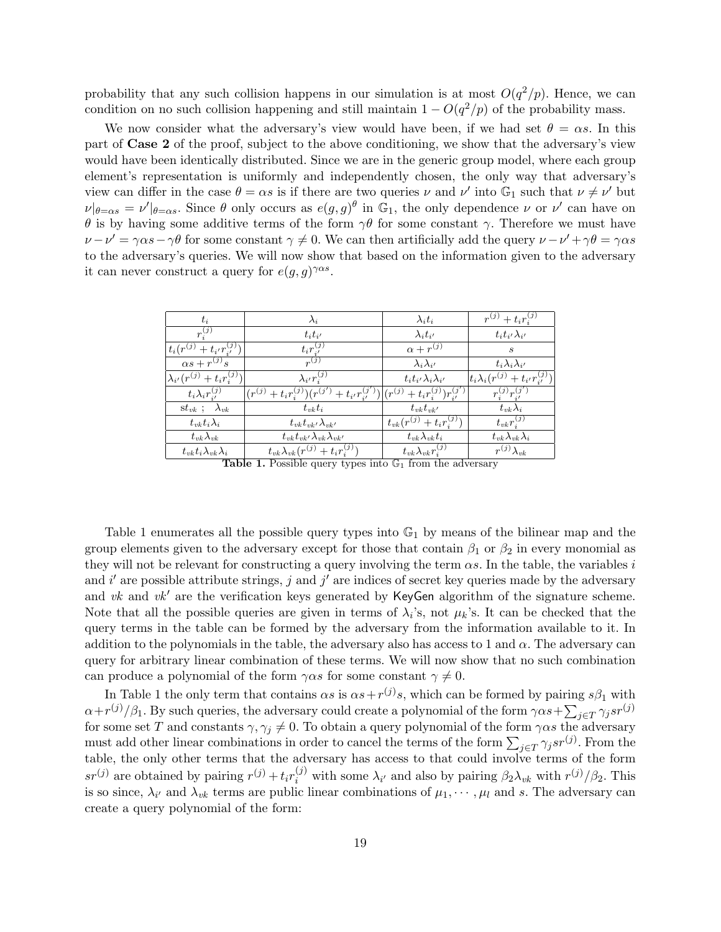probability that any such collision happens in our simulation is at most  $O(q^2/p)$ . Hence, we can condition on no such collision happening and still maintain  $1 - O(q^2/p)$  of the probability mass.

We now consider what the adversary's view would have been, if we had set  $\theta = \alpha s$ . In this part of Case 2 of the proof, subject to the above conditioning, we show that the adversary's view would have been identically distributed. Since we are in the generic group model, where each group element's representation is uniformly and independently chosen, the only way that adversary's view can differ in the case  $\theta = \alpha s$  is if there are two queries  $\nu$  and  $\nu'$  into  $\mathbb{G}_1$  such that  $\nu \neq \nu'$  but  $\nu|_{\theta=\alpha s} = \nu'|_{\theta=\alpha s}$ . Since  $\theta$  only occurs as  $e(g, g)$ <sup> $\theta$ </sup> in  $\mathbb{G}_1$ , the only dependence  $\nu$  or  $\nu'$  can have on θ is by having some additive terms of the form  $\gamma$ θ for some constant  $\gamma$ . Therefore we must have  $\nu - \nu' = \gamma \alpha s - \gamma \theta$  for some constant  $\gamma \neq 0$ . We can then artificially add the query  $\nu - \nu' + \gamma \theta = \gamma \alpha s$ to the adversary's queries. We will now show that based on the information given to the adversary it can never construct a query for  $e(g, g)^{\gamma \alpha s}$ .

| $t_i$                                   | $\lambda_i$                                                   | $\lambda_i t_i$                       | $r^{(j)} + t_i r_i^{(j)}$                       |
|-----------------------------------------|---------------------------------------------------------------|---------------------------------------|-------------------------------------------------|
| $r_i^{(j)}$                             | $t_i t_{i'}$                                                  | $\lambda_i t_{i'}$                    | $t_i t_{i'} \lambda_{i'}$                       |
| $t_i(r^{(j)}+t_{i'}r^{(j)}_{i'})$       | $t_ir_i^{(j)}$                                                | $\alpha + r^{(j)}$                    | S                                               |
| $\alpha s + r^{(j)}s$                   | $r^{(j)}$                                                     | $\lambda_i\lambda_{i'}$               | $t_i\lambda_i\lambda_{i'}$                      |
| $\lambda_{i'}(r^{(j)} + t_i r_i^{(j)})$ | $\lambda_{i'}r_i^{(j)}$                                       | $t_i t_{i'} \lambda_i \lambda_{i'}$   | $t_i \lambda_i (r^{(j)} + t_{i'} r^{(j)}_{i'})$ |
| $t_i \lambda_i r_i^{(j)}$               | $(r^{(j)}+t_ir_i^{(j)})(r^{(j)})$<br>$+ t_{i'} r_{i'}^{\vee}$ | $(r^{(j)}+t_ir^{(j)}_i)r^{(j')}_{i'}$ | $r_i^{(j)}r_{i'}^{(j')}$                        |
| $\mathrm st_{vk}$ ; $\lambda_{vk}$      | $t_{vk}t_i$                                                   | $t_{vk}t_{vk'}$                       | $t_{vk}\lambda_i$                               |
| $t_{vk}t_i\lambda_i$                    | $t_{vk}t_{vk'}\lambda_{vk'}$                                  | $t_{vk}(r^{(j)} + t_i r_i^{(j)})$     | $t_{vk}r_i^{(j)}$                               |
| $t_{vk}\lambda_{vk}$                    | $t_{vk}t_{vk'}\lambda_{vk}\lambda_{vk'}$                      | $t_{vk}\lambda_{vk}t_i$               | $t_{vk}\lambda_{vk}\lambda_i$                   |
| $t_{vk}t_i\lambda_{vk}\lambda_i$        | $t_{vk}\lambda_{vk}(r^{(j)}+t_ir_i^{(j)})$                    | $t_{vk}\lambda_{vk}r_i^{(j)}$         | $r^{(j)}\lambda_{vk}$                           |

**Table 1.** Possible query types into  $\mathbb{G}_1$  from the adversary

Table 1 enumerates all the possible query types into  $\mathbb{G}_1$  by means of the bilinear map and the group elements given to the adversary except for those that contain  $\beta_1$  or  $\beta_2$  in every monomial as they will not be relevant for constructing a query involving the term  $\alpha s$ . In the table, the variables i and i' are possible attribute strings, j and j' are indices of secret key queries made by the adversary and vk and vk' are the verification keys generated by KeyGen algorithm of the signature scheme. Note that all the possible queries are given in terms of  $\lambda_i$ 's, not  $\mu_k$ 's. It can be checked that the query terms in the table can be formed by the adversary from the information available to it. In addition to the polynomials in the table, the adversary also has access to 1 and  $\alpha$ . The adversary can query for arbitrary linear combination of these terms. We will now show that no such combination can produce a polynomial of the form  $\gamma \alpha s$  for some constant  $\gamma \neq 0$ .

In Table 1 the only term that contains  $\alpha s$  is  $\alpha s + r^{(j)}s$ , which can be formed by pairing  $s\beta_1$  with  $\alpha+r^{(j)}/\beta_1$ . By such queries, the adversary could create a polynomial of the form  $\gamma\alpha s+\sum_{j\in T}\gamma_jsr^{(j)}$ for some set T and constants  $\gamma, \gamma_j \neq 0$ . To obtain a query polynomial of the form  $\gamma \alpha s$  the adversary must add other linear combinations in order to cancel the terms of the form  $\sum_{j\in T}\gamma_jsr^{(j)}$ . From the table, the only other terms that the adversary has access to that could involve terms of the form  $sr^{(j)}$  are obtained by pairing  $r^{(j)} + t_i r_i^{(j)}$  with some  $\lambda_{i'}$  and also by pairing  $\beta_2 \lambda_{vk}$  with  $r^{(j)}/\beta_2$ . This is so since,  $\lambda_{i'}$  and  $\lambda_{vk}$  terms are public linear combinations of  $\mu_1, \dots, \mu_l$  and s. The adversary can create a query polynomial of the form: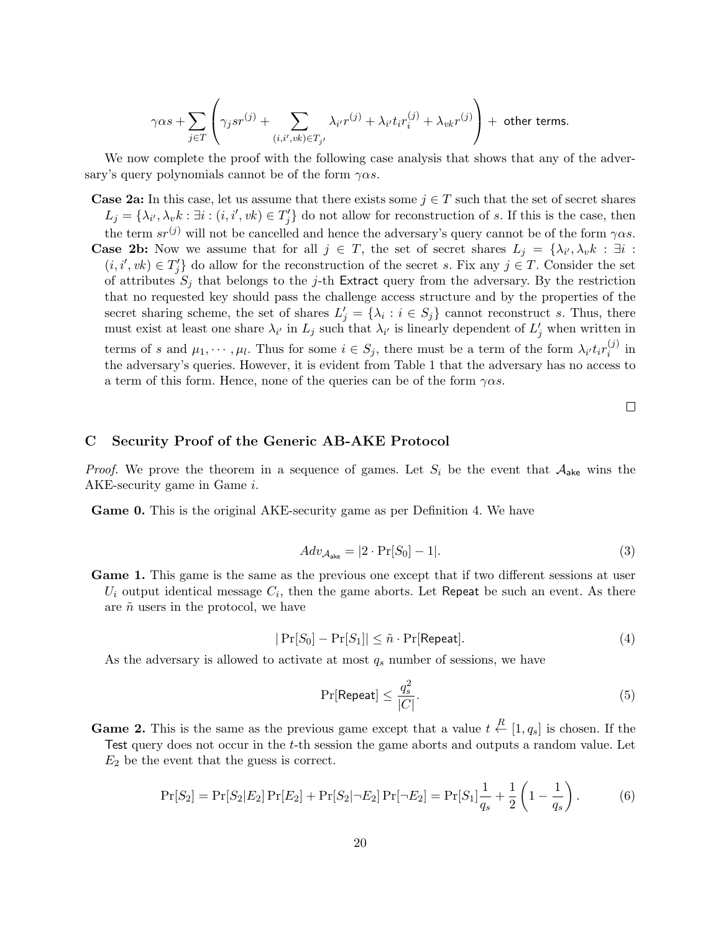$$
\gamma \alpha s + \sum_{j \in T} \left( \gamma_j s r^{(j)} + \sum_{(i,i',vk) \in T_{j'}} \lambda_{i'} r^{(j)} + \lambda_{i'} t_i r^{(j)}_i + \lambda_{vk} r^{(j)} \right) + \text{ other terms}.
$$

We now complete the proof with the following case analysis that shows that any of the adversary's query polynomials cannot be of the form  $\gamma \alpha s$ .

**Case 2a:** In this case, let us assume that there exists some  $j \in T$  such that the set of secret shares  $L_j = \{\lambda_{i'}, \lambda_{v} k : \exists i : (i, i', vk) \in T'_j\}$  do not allow for reconstruction of s. If this is the case, then the term  $sr^{(j)}$  will not be cancelled and hence the adversary's query cannot be of the form  $\gamma\alpha s$ . **Case 2b:** Now we assume that for all  $j \in T$ , the set of secret shares  $L_j = \{\lambda_{i'}, \lambda_{v'}\}\$ :  $\exists i$ :  $(i, i', vk) \in T'_j$  do allow for the reconstruction of the secret s. Fix any  $j \in T$ . Consider the set of attributes  $S_j$  that belongs to the j-th Extract query from the adversary. By the restriction that no requested key should pass the challenge access structure and by the properties of the secret sharing scheme, the set of shares  $L'_j = \{\lambda_i : i \in S_j\}$  cannot reconstruct s. Thus, there must exist at least one share  $\lambda_{i'}$  in  $L_j$  such that  $\lambda_{i'}$  is linearly dependent of  $L'_j$  when written in terms of s and  $\mu_1, \dots, \mu_l$ . Thus for some  $i \in S_j$ , there must be a term of the form  $\lambda_{i'} t_i r_i^{(j)}$  $\binom{J}{i}$  in the adversary's queries. However, it is evident from Table 1 that the adversary has no access to a term of this form. Hence, none of the queries can be of the form  $\gamma \alpha s$ .

 $\Box$ 

### C Security Proof of the Generic AB-AKE Protocol

*Proof.* We prove the theorem in a sequence of games. Let  $S_i$  be the event that  $A_{abc}$  wins the AKE-security game in Game i.

Game 0. This is the original AKE-security game as per Definition 4. We have

$$
Adv_{A_{\text{ake}}} = |2 \cdot \Pr[S_0] - 1|.
$$
\n(3)

Game 1. This game is the same as the previous one except that if two different sessions at user  $U_i$  output identical message  $C_i$ , then the game aborts. Let Repeat be such an event. As there are  $\tilde{n}$  users in the protocol, we have

$$
|\Pr[S_0] - \Pr[S_1]| \le \tilde{n} \cdot \Pr[\text{Repeat}].\tag{4}
$$

As the adversary is allowed to activate at most  $q_s$  number of sessions, we have

$$
\Pr[\text{Repeat}] \le \frac{q_s^2}{|C|}.\tag{5}
$$

**Game 2.** This is the same as the previous game except that a value  $t \stackrel{R}{\leftarrow} [1, q_s]$  is chosen. If the Test query does not occur in the t-th session the game aborts and outputs a random value. Let  $E_2$  be the event that the guess is correct.

$$
\Pr[S_2] = \Pr[S_2 | E_2] \Pr[E_2] + \Pr[S_2 | \neg E_2] \Pr[\neg E_2] = \Pr[S_1] \frac{1}{q_s} + \frac{1}{2} \left( 1 - \frac{1}{q_s} \right). \tag{6}
$$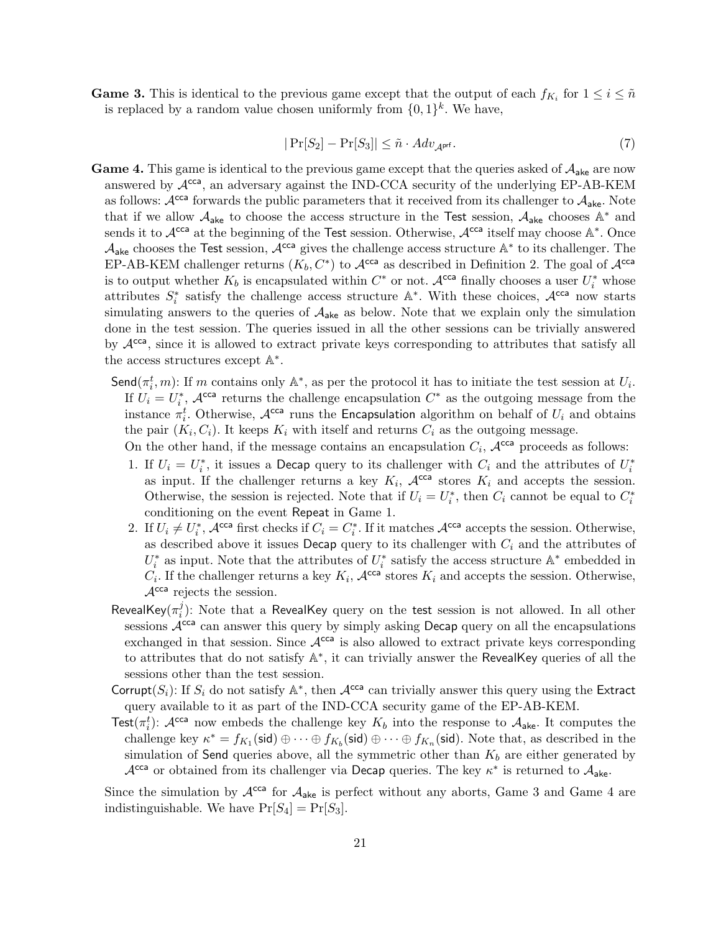**Game 3.** This is identical to the previous game except that the output of each  $f_{K_i}$  for  $1 \leq i \leq \tilde{n}$ is replaced by a random value chosen uniformly from  $\{0,1\}^k$ . We have,

$$
|\Pr[S_2] - \Pr[S_3]| \le \tilde{n} \cdot Adv_{\mathcal{A}^{\text{prf}}}.\tag{7}
$$

- **Game 4.** This game is identical to the previous game except that the queries asked of  $A_{abc}$  are now answered by  $\mathcal{A}^{cca}$ , an adversary against the IND-CCA security of the underlying EP-AB-KEM as follows:  $A^{cca}$  forwards the public parameters that it received from its challenger to  $A_{abc}$ . Note that if we allow  $A_{\text{ake}}$  to choose the access structure in the Test session,  $A_{\text{ake}}$  chooses  $A^*$  and sends it to  $\mathcal{A}^{\text{cca}}$  at the beginning of the Test session. Otherwise,  $\mathcal{A}^{\text{cca}}$  itself may choose  $\mathbb{A}^*$ . Once  $A_{\text{ake}}$  chooses the Test session,  $A^{\text{cca}}$  gives the challenge access structure  $\mathbb{A}^*$  to its challenger. The EP-AB-KEM challenger returns  $(K_b, C^*)$  to  $\mathcal{A}^{cca}$  as described in Definition 2. The goal of  $\mathcal{A}^{cca}$ is to output whether  $K_b$  is encapsulated within  $C^*$  or not.  $\mathcal{A}^{\text{cca}}$  finally chooses a user  $U_i^*$  whose attributes  $S_i^*$  satisfy the challenge access structure  $\mathbb{A}^*$ . With these choices,  $\mathcal{A}^{\text{cca}}$  now starts simulating answers to the queries of  $A_{\text{ake}}$  as below. Note that we explain only the simulation done in the test session. The queries issued in all the other sessions can be trivially answered by  $\mathcal{A}^{\text{cca}}$ , since it is allowed to extract private keys corresponding to attributes that satisfy all the access structures except  $\mathbb{A}^*$ .
	- Send $(\pi_i^t, m)$ : If m contains only  $\mathbb{A}^*$ , as per the protocol it has to initiate the test session at  $U_i$ . If  $U_i = U_i^*$ ,  $\mathcal{A}^{\text{cca}}$  returns the challenge encapsulation  $C^*$  as the outgoing message from the instance  $\pi_i^t$ . Otherwise,  $\mathcal{A}^{cca}$  runs the Encapsulation algorithm on behalf of  $U_i$  and obtains the pair  $(K_i, C_i)$ . It keeps  $K_i$  with itself and returns  $C_i$  as the outgoing message.
		- On the other hand, if the message contains an encapsulation  $C_i$ ,  $\mathcal{A}^{\text{cca}}$  proceeds as follows:
		- 1. If  $U_i = U_i^*$ , it issues a Decap query to its challenger with  $C_i$  and the attributes of  $U_i^*$ as input. If the challenger returns a key  $K_i$ ,  $\mathcal{A}^{cca}$  stores  $K_i$  and accepts the session. Otherwise, the session is rejected. Note that if  $U_i = U_i^*$ , then  $C_i$  cannot be equal to  $C_i^*$ conditioning on the event Repeat in Game 1.
		- 2. If  $U_i \neq U_i^*$ ,  $\mathcal{A}^{\text{cca}}$  first checks if  $C_i = C_i^*$ . If it matches  $\mathcal{A}^{\text{cca}}$  accepts the session. Otherwise, as described above it issues Decap query to its challenger with  $C_i$  and the attributes of  $U_i^*$  as input. Note that the attributes of  $U_i^*$  satisfy the access structure  $\mathbb{A}^*$  embedded in  $C_i$ . If the challenger returns a key  $K_i$ ,  $\mathcal{A}^{cca}$  stores  $K_i$  and accepts the session. Otherwise,  $A<sup>cca</sup>$  rejects the session.
	- RevealKey $(\pi_i^j)$  $i_j^j$ ): Note that a RevealKey query on the test session is not allowed. In all other sessions  $A^{cca}$  can answer this query by simply asking Decap query on all the encapsulations exchanged in that session. Since  $A^{cca}$  is also allowed to extract private keys corresponding to attributes that do not satisfy A<sup>\*</sup>, it can trivially answer the RevealKey queries of all the sessions other than the test session.
	- Corrupt(S<sub>i</sub>): If S<sub>i</sub> do not satisfy  $A^*$ , then  $A^{cca}$  can trivially answer this query using the Extract query available to it as part of the IND-CCA security game of the EP-AB-KEM.
	- Test( $\pi_i^t$ ):  $\mathcal{A}^{cca}$  now embeds the challenge key  $K_b$  into the response to  $\mathcal{A}_{abc}$ . It computes the challenge key  $\kappa^* = f_{K_1}(\mathsf{sid}) \oplus \cdots \oplus f_{K_b}(\mathsf{sid}) \oplus \cdots \oplus f_{K_n}(\mathsf{sid})$ . Note that, as described in the simulation of Send queries above, all the symmetric other than  $K_b$  are either generated by  $\mathcal{A}^{cca}$  or obtained from its challenger via Decap queries. The key  $\kappa^*$  is returned to  $\mathcal{A}_{abc}$ .

Since the simulation by  $\mathcal{A}^{cca}$  for  $\mathcal{A}_{ake}$  is perfect without any aborts, Game 3 and Game 4 are indistinguishable. We have  $Pr[S_4] = Pr[S_3]$ .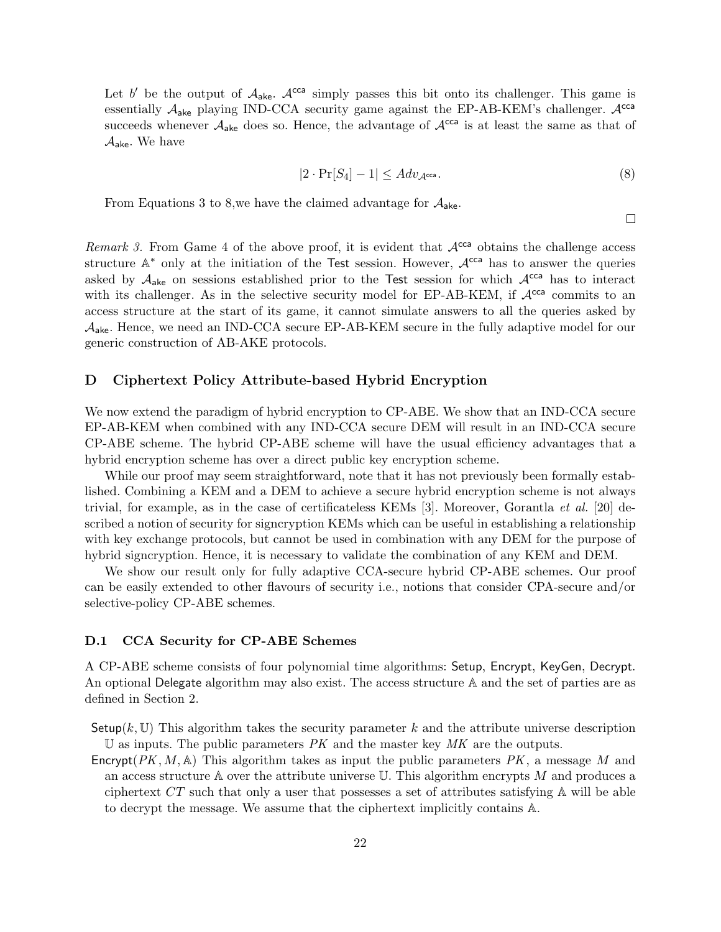Let b' be the output of  $A_{ake}$ .  $A^{cca}$  simply passes this bit onto its challenger. This game is essentially  $A_{\text{ake}}$  playing IND-CCA security game against the EP-AB-KEM's challenger.  $A^{\text{cca}}$ succeeds whenever  $A_{\text{ake}}$  does so. Hence, the advantage of  $A^{\text{cca}}$  is at least the same as that of  $A_{ake}$ . We have

$$
|2 \cdot \Pr[S_4] - 1| \le A d v_{\mathcal{A}^{\text{cca}}}.
$$
\n
$$
(8)
$$

From Equations 3 to 8, we have the claimed advantage for  $A_{abc}$ .

 $\Box$ 

*Remark 3.* From Game 4 of the above proof, it is evident that  $A^{cc}$  obtains the challenge access structure  $A^*$  only at the initiation of the Test session. However,  $A^{cca}$  has to answer the queries asked by  $A_{\text{ake}}$  on sessions established prior to the Test session for which  $A^{\text{cca}}$  has to interact with its challenger. As in the selective security model for EP-AB-KEM, if  $\mathcal{A}^{cca}$  commits to an access structure at the start of its game, it cannot simulate answers to all the queries asked by  $A_{\text{ake}}$ . Hence, we need an IND-CCA secure EP-AB-KEM secure in the fully adaptive model for our generic construction of AB-AKE protocols.

### D Ciphertext Policy Attribute-based Hybrid Encryption

We now extend the paradigm of hybrid encryption to CP-ABE. We show that an IND-CCA secure EP-AB-KEM when combined with any IND-CCA secure DEM will result in an IND-CCA secure CP-ABE scheme. The hybrid CP-ABE scheme will have the usual efficiency advantages that a hybrid encryption scheme has over a direct public key encryption scheme.

While our proof may seem straightforward, note that it has not previously been formally established. Combining a KEM and a DEM to achieve a secure hybrid encryption scheme is not always trivial, for example, as in the case of certificateless KEMs [3]. Moreover, Gorantla et al. [20] described a notion of security for signcryption KEMs which can be useful in establishing a relationship with key exchange protocols, but cannot be used in combination with any DEM for the purpose of hybrid signcryption. Hence, it is necessary to validate the combination of any KEM and DEM.

We show our result only for fully adaptive CCA-secure hybrid CP-ABE schemes. Our proof can be easily extended to other flavours of security i.e., notions that consider CPA-secure and/or selective-policy CP-ABE schemes.

### D.1 CCA Security for CP-ABE Schemes

A CP-ABE scheme consists of four polynomial time algorithms: Setup, Encrypt, KeyGen, Decrypt. An optional Delegate algorithm may also exist. The access structure A and the set of parties are as defined in Section 2.

Setup(k, U) This algorithm takes the security parameter k and the attribute universe description  $\mathbb U$  as inputs. The public parameters PK and the master key MK are the outputs.

Encrypt( $PK, M, A$ ) This algorithm takes as input the public parameters PK, a message M and an access structure  $A$  over the attribute universe  $U$ . This algorithm encrypts  $M$  and produces a ciphertext  $CT$  such that only a user that possesses a set of attributes satisfying  $A$  will be able to decrypt the message. We assume that the ciphertext implicitly contains A.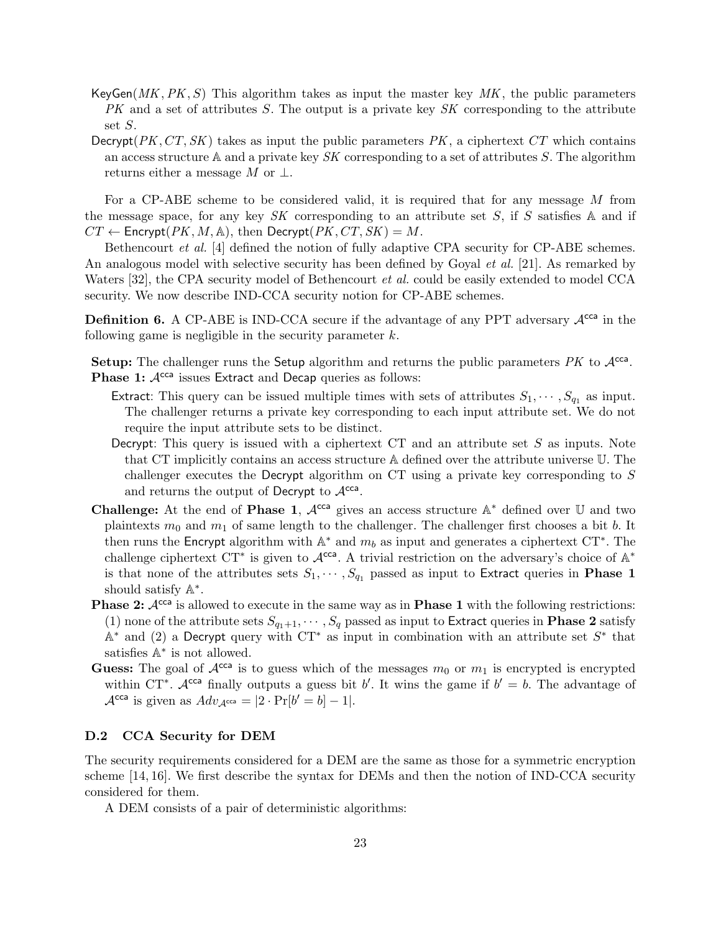- KeyGen( $MK, PK, S$ ) This algorithm takes as input the master key  $MK$ , the public parameters PK and a set of attributes S. The output is a private key SK corresponding to the attribute set S.
- Decrypt( $PK, CT, SK$ ) takes as input the public parameters  $PK$ , a ciphertext  $CT$  which contains an access structure  $A$  and a private key  $SK$  corresponding to a set of attributes  $S$ . The algorithm returns either a message M or  $\perp$ .

For a CP-ABE scheme to be considered valid, it is required that for any message M from the message space, for any key  $SK$  corresponding to an attribute set  $S$ , if  $S$  satisfies A and if  $CT \leftarrow$  Encrypt( $PK, M, A$ ), then Decrypt( $PK, CT, SK$ ) = M.

Bethencourt et al. [4] defined the notion of fully adaptive CPA security for CP-ABE schemes. An analogous model with selective security has been defined by Goyal et al. [21]. As remarked by Waters [32], the CPA security model of Bethencourt *et al.* could be easily extended to model CCA security. We now describe IND-CCA security notion for CP-ABE schemes.

**Definition 6.** A CP-ABE is IND-CCA secure if the advantage of any PPT adversary  $A^{cca}$  in the following game is negligible in the security parameter  $k$ .

Setup: The challenger runs the Setup algorithm and returns the public parameters  $PK$  to  $\mathcal{A}^{cca}$ . **Phase 1:**  $A^{cca}$  issues Extract and Decap queries as follows:

- Extract: This query can be issued multiple times with sets of attributes  $S_1, \dots, S_{q_1}$  as input. The challenger returns a private key corresponding to each input attribute set. We do not require the input attribute sets to be distinct.
- Decrypt: This query is issued with a ciphertext  $CT$  and an attribute set S as inputs. Note that CT implicitly contains an access structure A defined over the attribute universe U. The challenger executes the Decrypt algorithm on CT using a private key corresponding to S and returns the output of Decrypt to  $A^{cca}$ .
- **Challenge:** At the end of **Phase 1**,  $A^{cca}$  gives an access structure  $A^*$  defined over  $\mathbb U$  and two plaintexts  $m_0$  and  $m_1$  of same length to the challenger. The challenger first chooses a bit b. It then runs the Encrypt algorithm with  $\mathbb{A}^*$  and  $m_b$  as input and generates a ciphertext CT<sup>\*</sup>. The challenge ciphertext CT<sup>\*</sup> is given to  $\mathcal{A}^{\text{cca}}$ . A trivial restriction on the adversary's choice of  $\mathbb{A}^*$ is that none of the attributes sets  $S_1, \dots, S_{q_1}$  passed as input to Extract queries in **Phase 1** should satisfy  $\mathbb{A}^*$ .
- **Phase 2:**  $A^{cca}$  is allowed to execute in the same way as in **Phase 1** with the following restrictions: (1) none of the attribute sets  $S_{q_1+1}, \cdots, S_q$  passed as input to Extract queries in **Phase 2** satisfy A<sup>\*</sup> and (2) a Decrypt query with CT<sup>\*</sup> as input in combination with an attribute set S<sup>\*</sup> that satisfies  $\mathbb{A}^*$  is not allowed.
- **Guess:** The goal of  $A^{cca}$  is to guess which of the messages  $m_0$  or  $m_1$  is encrypted is encrypted within CT<sup>\*</sup>. A<sup>cca</sup> finally outputs a guess bit b'. It wins the game if  $b' = b$ . The advantage of  $\mathcal{A}^{\text{cca}}$  is given as  $Adv_{\mathcal{A}^{\text{cca}}} = |2 \cdot \Pr[b' = b] - 1|.$

### D.2 CCA Security for DEM

The security requirements considered for a DEM are the same as those for a symmetric encryption scheme [14, 16]. We first describe the syntax for DEMs and then the notion of IND-CCA security considered for them.

A DEM consists of a pair of deterministic algorithms: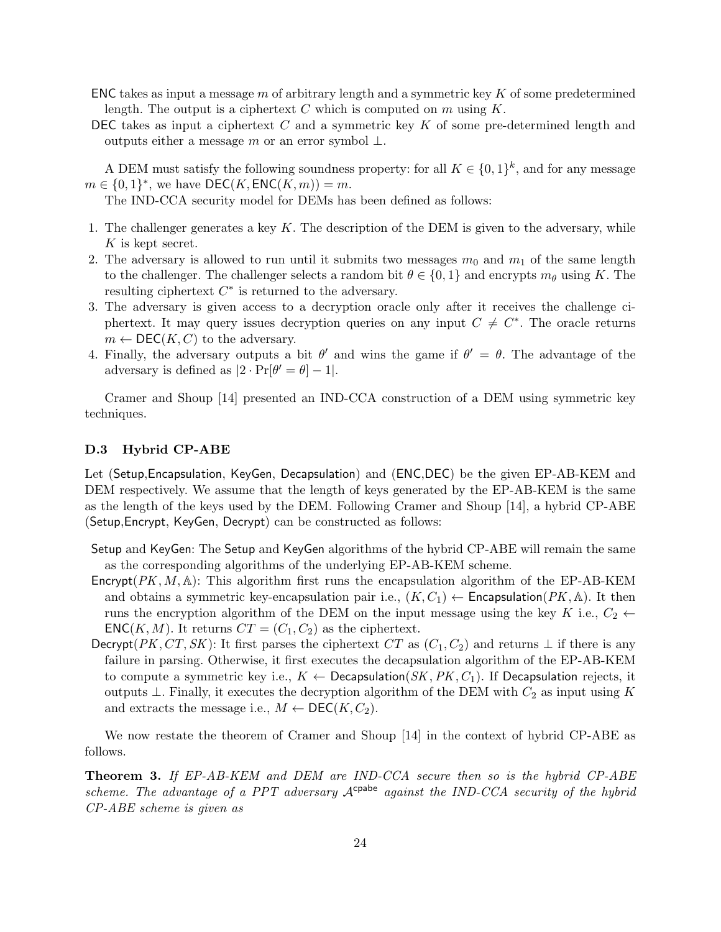- ENC takes as input a message m of arbitrary length and a symmetric key  $K$  of some predetermined length. The output is a ciphertext  $C$  which is computed on  $m$  using  $K$ .
- DEC takes as input a ciphertext C and a symmetric key K of some pre-determined length and outputs either a message m or an error symbol  $\bot$ .

A DEM must satisfy the following soundness property: for all  $K \in \{0,1\}^k$ , and for any message  $m \in \{0,1\}^*$ , we have  $DEC(K,ENC(K,m)) = m$ .

The IND-CCA security model for DEMs has been defined as follows:

- 1. The challenger generates a key  $K$ . The description of the DEM is given to the adversary, while  $K$  is kept secret.
- 2. The adversary is allowed to run until it submits two messages  $m_0$  and  $m_1$  of the same length to the challenger. The challenger selects a random bit  $\theta \in \{0, 1\}$  and encrypts  $m_{\theta}$  using K. The resulting ciphertext  $C^*$  is returned to the adversary.
- 3. The adversary is given access to a decryption oracle only after it receives the challenge ciphertext. It may query issues decryption queries on any input  $C \neq C^*$ . The oracle returns  $m \leftarrow \text{DEC}(K, C)$  to the adversary.
- 4. Finally, the adversary outputs a bit  $\theta'$  and wins the game if  $\theta' = \theta$ . The advantage of the adversary is defined as  $|2 \cdot \Pr[\theta' = \theta] - 1|$ .

Cramer and Shoup [14] presented an IND-CCA construction of a DEM using symmetric key techniques.

#### D.3 Hybrid CP-ABE

Let (Setup,Encapsulation, KeyGen, Decapsulation) and (ENC,DEC) be the given EP-AB-KEM and DEM respectively. We assume that the length of keys generated by the EP-AB-KEM is the same as the length of the keys used by the DEM. Following Cramer and Shoup [14], a hybrid CP-ABE (Setup,Encrypt, KeyGen, Decrypt) can be constructed as follows:

- Setup and KeyGen: The Setup and KeyGen algorithms of the hybrid CP-ABE will remain the same as the corresponding algorithms of the underlying EP-AB-KEM scheme.
- Encrypt( $PK, M, A$ ): This algorithm first runs the encapsulation algorithm of the EP-AB-KEM and obtains a symmetric key-encapsulation pair i.e.,  $(K, C_1) \leftarrow$  Encapsulation(PK, A). It then runs the encryption algorithm of the DEM on the input message using the key K i.e.,  $C_2 \leftarrow$  $ENC(K, M)$ . It returns  $CT = (C_1, C_2)$  as the ciphertext.
- Decrypt( $PK, CT, SK$ ): It first parses the ciphertext  $CT$  as  $(C_1, C_2)$  and returns  $\perp$  if there is any failure in parsing. Otherwise, it first executes the decapsulation algorithm of the EP-AB-KEM to compute a symmetric key i.e.,  $K \leftarrow$  Decapsulation(SK, PK, C<sub>1</sub>). If Decapsulation rejects, it outputs  $\perp$ . Finally, it executes the decryption algorithm of the DEM with  $C_2$  as input using K and extracts the message i.e.,  $M \leftarrow \text{DEC}(K, C_2)$ .

We now restate the theorem of Cramer and Shoup [14] in the context of hybrid CP-ABE as follows.

Theorem 3. If EP-AB-KEM and DEM are IND-CCA secure then so is the hybrid CP-ABE scheme. The advantage of a PPT adversary  $\mathcal{A}^{cpabe}$  against the IND-CCA security of the hybrid CP-ABE scheme is given as